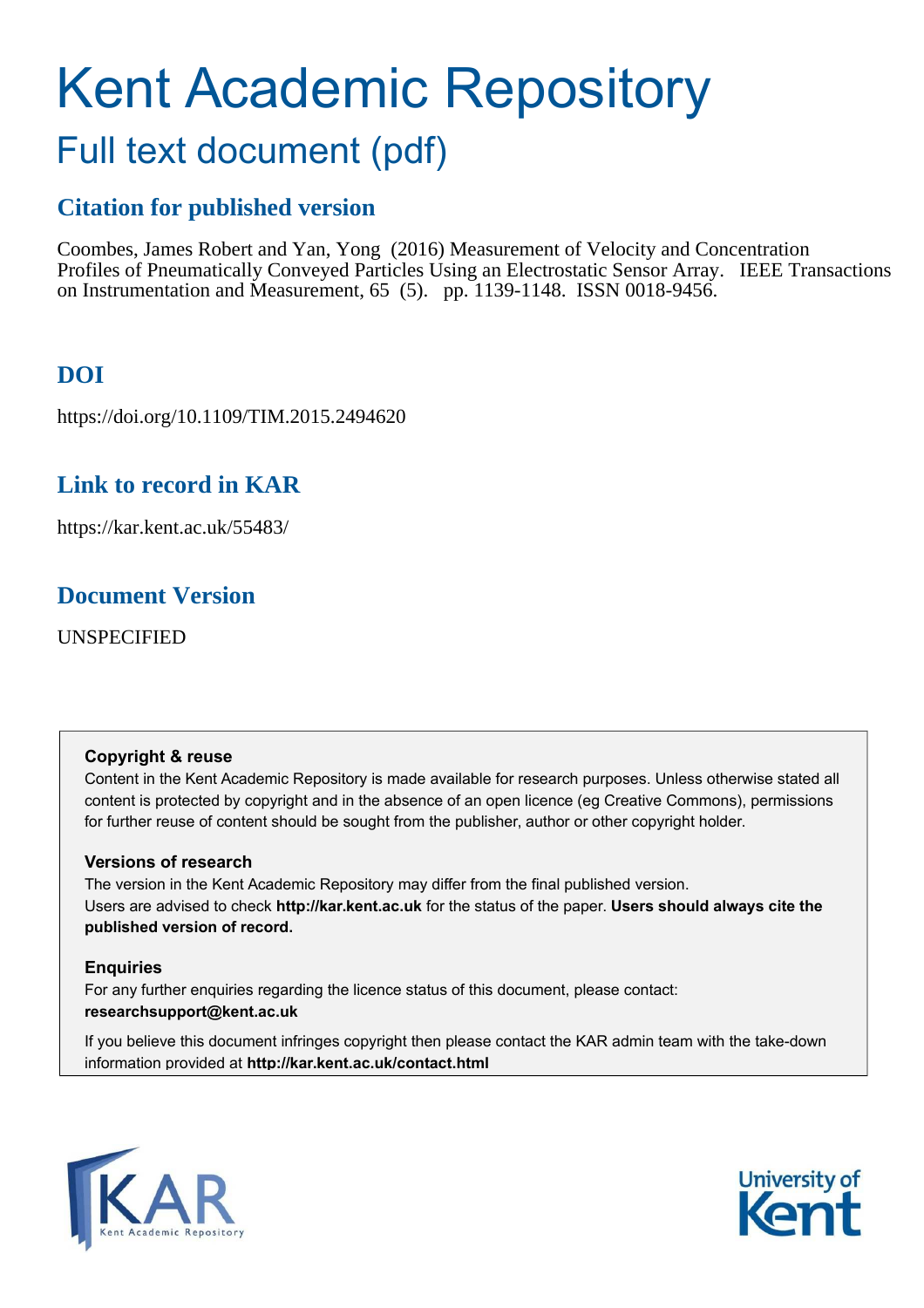# Kent Academic Repository

## Full text document (pdf)

## **Citation for published version**

Coombes, James Robert and Yan, Yong (2016) Measurement of Velocity and Concentration Profiles of Pneumatically Conveyed Particles Using an Electrostatic Sensor Array. IEEE Transactions on Instrumentation and Measurement, 65 (5). pp. 1139-1148. ISSN 0018-9456.

## **DOI**

https://doi.org/10.1109/TIM.2015.2494620

## **Link to record in KAR**

https://kar.kent.ac.uk/55483/

## **Document Version**

UNSPECIFIED

## **Copyright & reuse**

Content in the Kent Academic Repository is made available for research purposes. Unless otherwise stated all content is protected by copyright and in the absence of an open licence (eg Creative Commons), permissions for further reuse of content should be sought from the publisher, author or other copyright holder.

## **Versions of research**

The version in the Kent Academic Repository may differ from the final published version. Users are advised to check **http://kar.kent.ac.uk** for the status of the paper. **Users should always cite the published version of record.**

## **Enquiries**

For any further enquiries regarding the licence status of this document, please contact: **researchsupport@kent.ac.uk**

If you believe this document infringes copyright then please contact the KAR admin team with the take-down information provided at **http://kar.kent.ac.uk/contact.html**



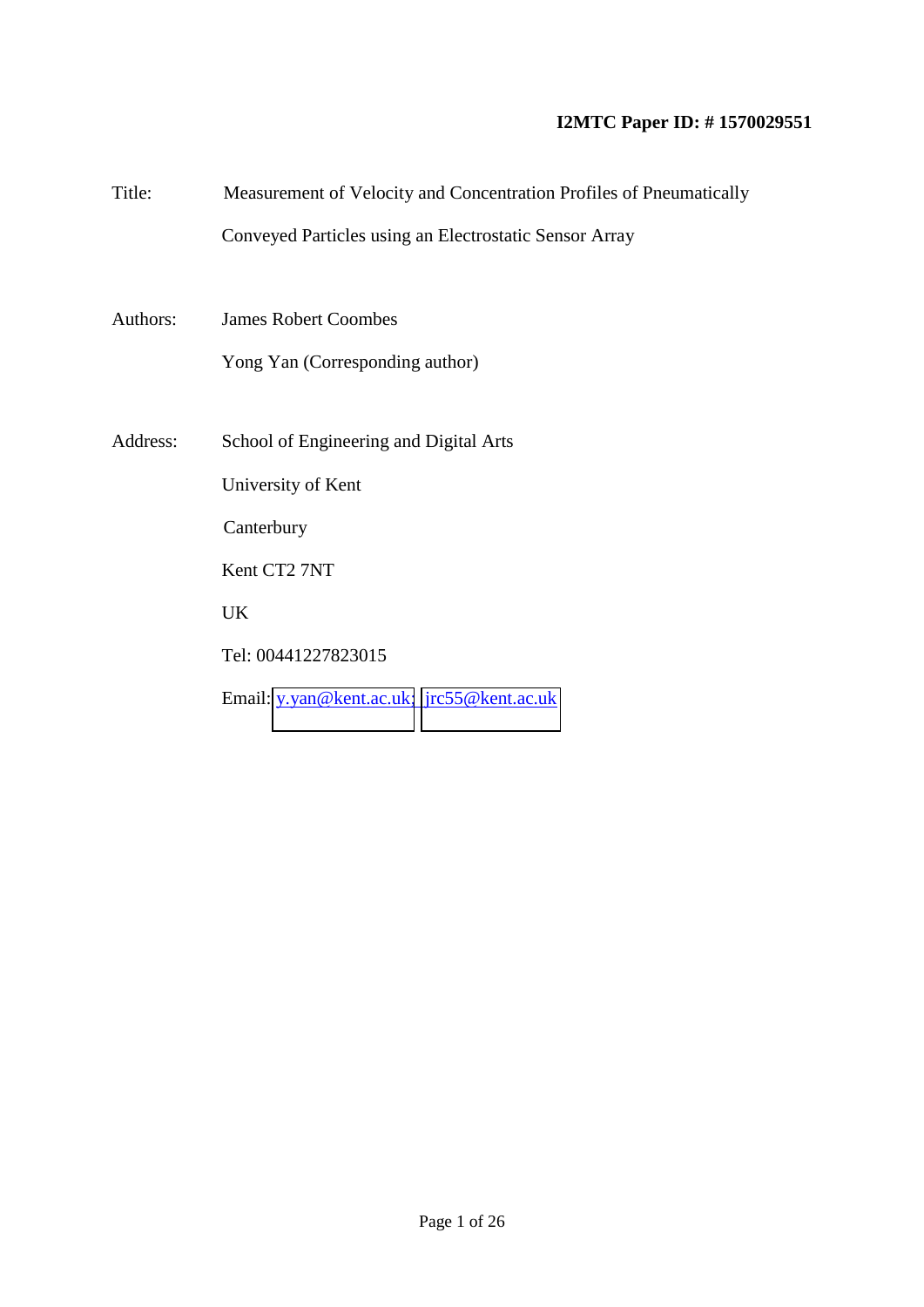## **I2MTC Paper ID: # 1570029551**

| Title:   | Measurement of Velocity and Concentration Profiles of Pneumatically |
|----------|---------------------------------------------------------------------|
|          | Conveyed Particles using an Electrostatic Sensor Array              |
|          |                                                                     |
| Authors: | <b>James Robert Coombes</b>                                         |
|          | Yong Yan (Corresponding author)                                     |
|          |                                                                     |
| Address: | School of Engineering and Digital Arts                              |
|          | University of Kent                                                  |
|          | Canterbury                                                          |
|          | Kent CT2 7NT                                                        |
|          | UK                                                                  |
|          | Tel: 00441227823015                                                 |
|          | Email: y.yan@kent.ac.uk; jrc55@kent.ac.uk                           |
|          |                                                                     |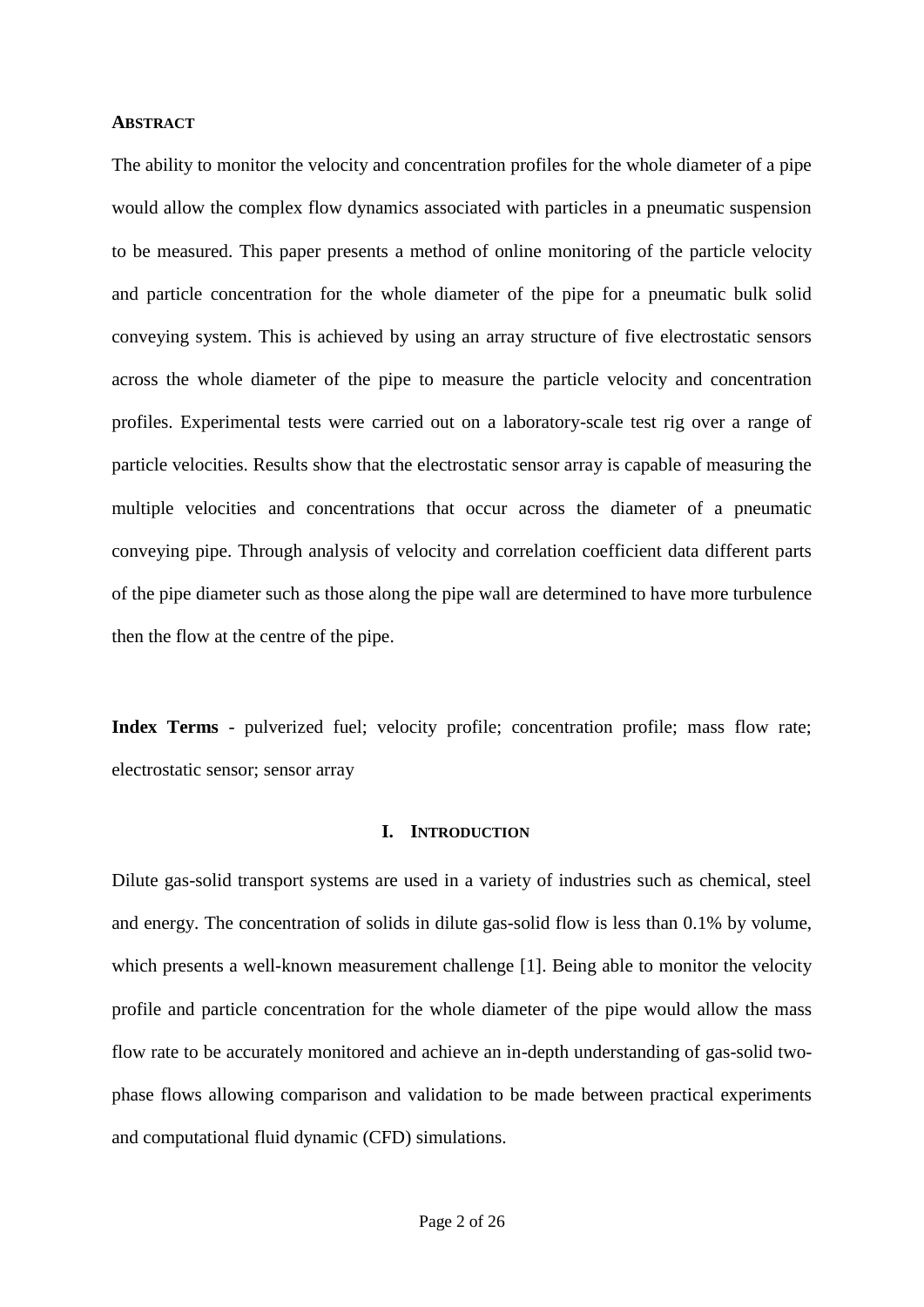#### **ABSTRACT**

The ability to monitor the velocity and concentration profiles for the whole diameter of a pipe would allow the complex flow dynamics associated with particles in a pneumatic suspension to be measured. This paper presents a method of online monitoring of the particle velocity and particle concentration for the whole diameter of the pipe for a pneumatic bulk solid conveying system. This is achieved by using an array structure of five electrostatic sensors across the whole diameter of the pipe to measure the particle velocity and concentration profiles. Experimental tests were carried out on a laboratory-scale test rig over a range of particle velocities. Results show that the electrostatic sensor array is capable of measuring the multiple velocities and concentrations that occur across the diameter of a pneumatic conveying pipe. Through analysis of velocity and correlation coefficient data different parts of the pipe diameter such as those along the pipe wall are determined to have more turbulence then the flow at the centre of the pipe.

**Index Terms** - pulverized fuel; velocity profile; concentration profile; mass flow rate; electrostatic sensor; sensor array

#### **I. INTRODUCTION**

Dilute gas-solid transport systems are used in a variety of industries such as chemical, steel and energy. The concentration of solids in dilute gas-solid flow is less than 0.1% by volume, which presents a well-known measurement challenge [1]. Being able to monitor the velocity profile and particle concentration for the whole diameter of the pipe would allow the mass flow rate to be accurately monitored and achieve an in-depth understanding of gas-solid twophase flows allowing comparison and validation to be made between practical experiments and computational fluid dynamic (CFD) simulations.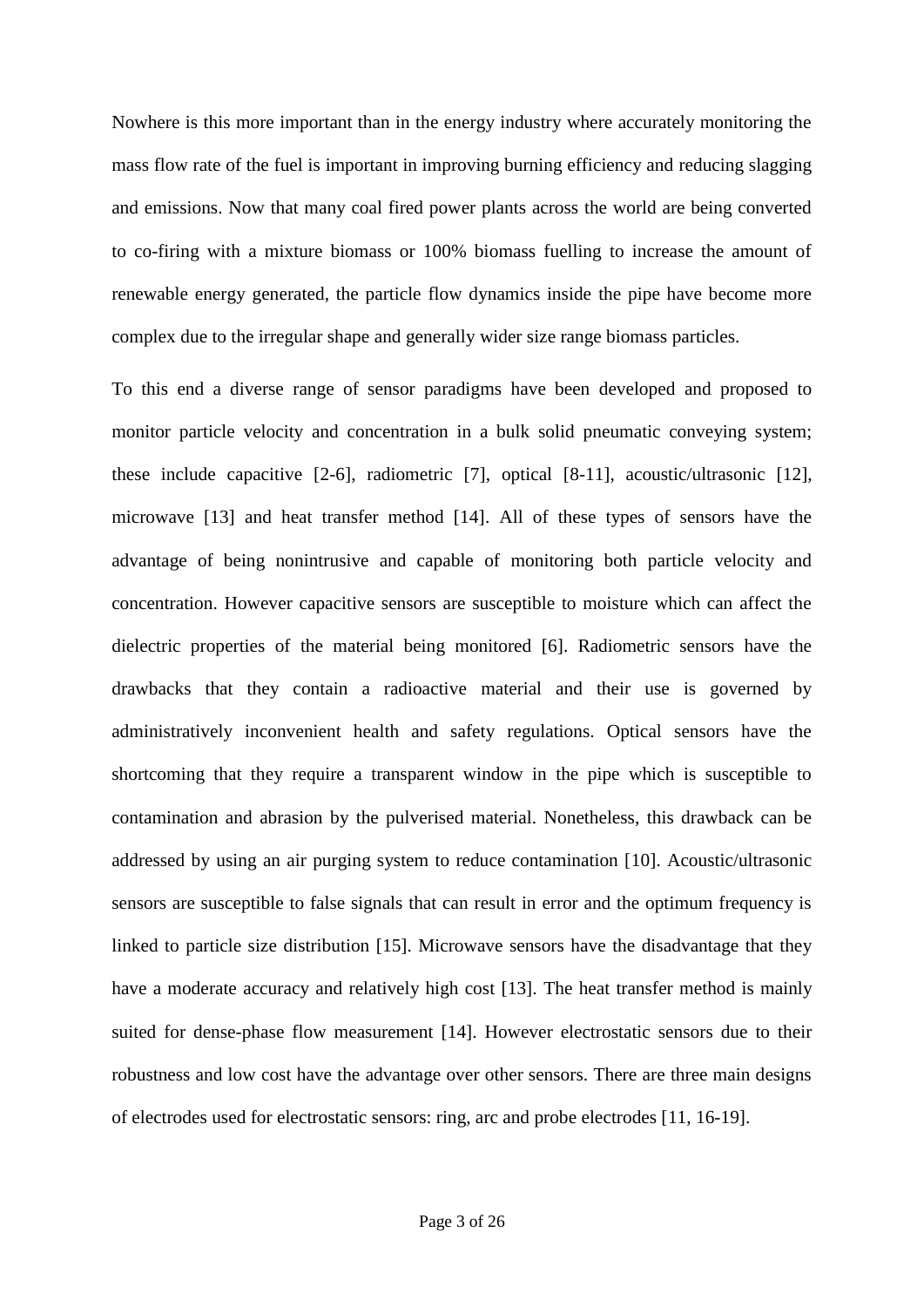Nowhere is this more important than in the energy industry where accurately monitoring the mass flow rate of the fuel is important in improving burning efficiency and reducing slagging and emissions. Now that many coal fired power plants across the world are being converted to co-firing with a mixture biomass or 100% biomass fuelling to increase the amount of renewable energy generated, the particle flow dynamics inside the pipe have become more complex due to the irregular shape and generally wider size range biomass particles.

To this end a diverse range of sensor paradigms have been developed and proposed to monitor particle velocity and concentration in a bulk solid pneumatic conveying system; these include capacitive [2-6], radiometric [7], optical [8-11], acoustic/ultrasonic [12], microwave [13] and heat transfer method [14]. All of these types of sensors have the advantage of being nonintrusive and capable of monitoring both particle velocity and concentration. However capacitive sensors are susceptible to moisture which can affect the dielectric properties of the material being monitored [6]. Radiometric sensors have the drawbacks that they contain a radioactive material and their use is governed by administratively inconvenient health and safety regulations. Optical sensors have the shortcoming that they require a transparent window in the pipe which is susceptible to contamination and abrasion by the pulverised material. Nonetheless, this drawback can be addressed by using an air purging system to reduce contamination [10]. Acoustic/ultrasonic sensors are susceptible to false signals that can result in error and the optimum frequency is linked to particle size distribution [15]. Microwave sensors have the disadvantage that they have a moderate accuracy and relatively high cost [13]. The heat transfer method is mainly suited for dense-phase flow measurement [14]. However electrostatic sensors due to their robustness and low cost have the advantage over other sensors. There are three main designs of electrodes used for electrostatic sensors: ring, arc and probe electrodes [11, 16-19].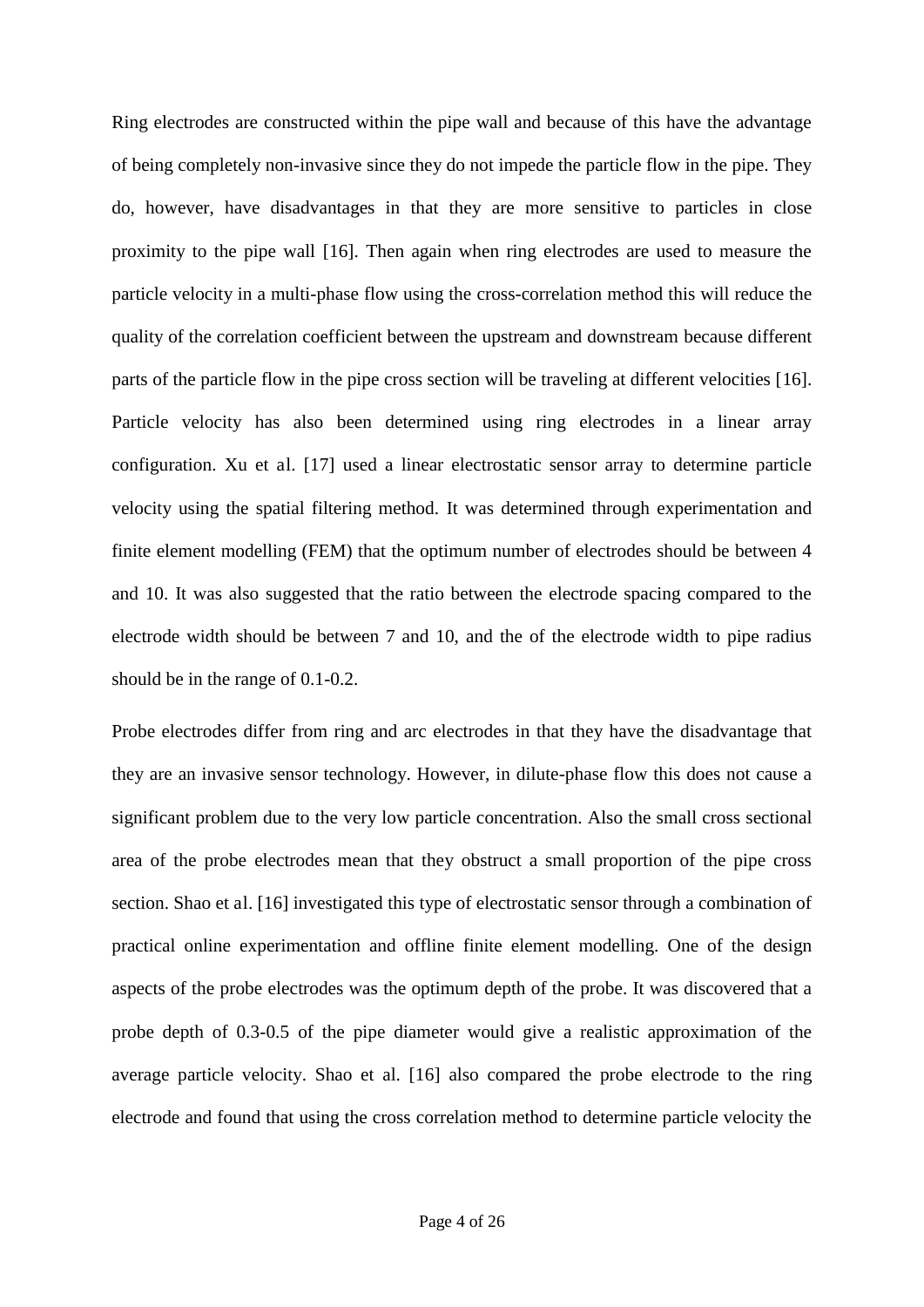Ring electrodes are constructed within the pipe wall and because of this have the advantage of being completely non-invasive since they do not impede the particle flow in the pipe. They do, however, have disadvantages in that they are more sensitive to particles in close proximity to the pipe wall [16]. Then again when ring electrodes are used to measure the particle velocity in a multi-phase flow using the cross-correlation method this will reduce the quality of the correlation coefficient between the upstream and downstream because different parts of the particle flow in the pipe cross section will be traveling at different velocities [16]. Particle velocity has also been determined using ring electrodes in a linear array configuration. Xu et al. [17] used a linear electrostatic sensor array to determine particle velocity using the spatial filtering method. It was determined through experimentation and finite element modelling (FEM) that the optimum number of electrodes should be between 4 and 10. It was also suggested that the ratio between the electrode spacing compared to the electrode width should be between 7 and 10, and the of the electrode width to pipe radius should be in the range of 0.1-0.2.

Probe electrodes differ from ring and arc electrodes in that they have the disadvantage that they are an invasive sensor technology. However, in dilute-phase flow this does not cause a significant problem due to the very low particle concentration. Also the small cross sectional area of the probe electrodes mean that they obstruct a small proportion of the pipe cross section. Shao et al. [16] investigated this type of electrostatic sensor through a combination of practical online experimentation and offline finite element modelling. One of the design aspects of the probe electrodes was the optimum depth of the probe. It was discovered that a probe depth of 0.3-0.5 of the pipe diameter would give a realistic approximation of the average particle velocity. Shao et al. [16] also compared the probe electrode to the ring electrode and found that using the cross correlation method to determine particle velocity the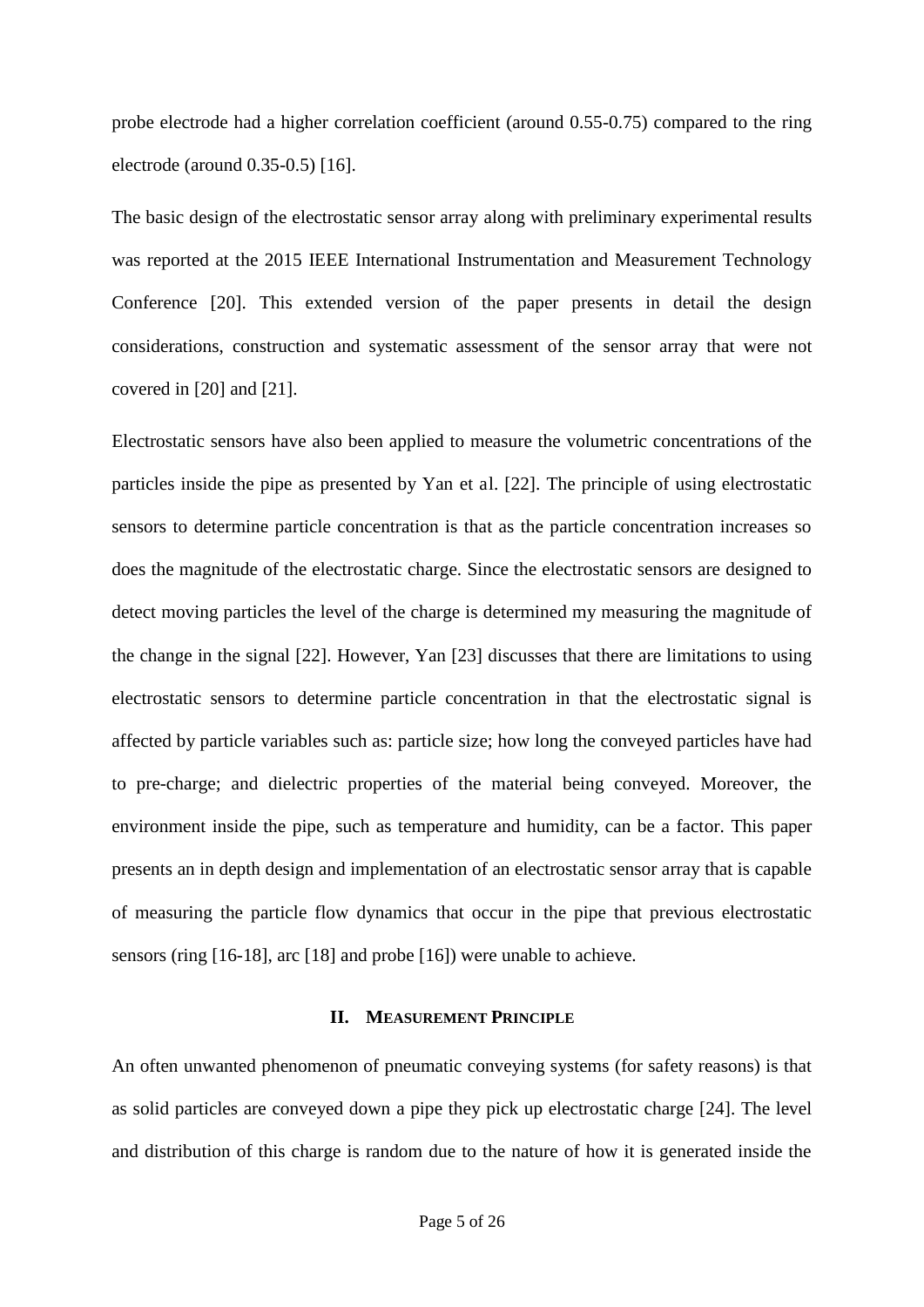probe electrode had a higher correlation coefficient (around 0.55-0.75) compared to the ring electrode (around 0.35-0.5) [16].

The basic design of the electrostatic sensor array along with preliminary experimental results was reported at the 2015 IEEE International Instrumentation and Measurement Technology Conference [20]. This extended version of the paper presents in detail the design considerations, construction and systematic assessment of the sensor array that were not covered in [20] and [21].

Electrostatic sensors have also been applied to measure the volumetric concentrations of the particles inside the pipe as presented by Yan et al. [22]. The principle of using electrostatic sensors to determine particle concentration is that as the particle concentration increases so does the magnitude of the electrostatic charge. Since the electrostatic sensors are designed to detect moving particles the level of the charge is determined my measuring the magnitude of the change in the signal [22]. However, Yan [23] discusses that there are limitations to using electrostatic sensors to determine particle concentration in that the electrostatic signal is affected by particle variables such as: particle size; how long the conveyed particles have had to pre-charge; and dielectric properties of the material being conveyed. Moreover, the environment inside the pipe, such as temperature and humidity, can be a factor. This paper presents an in depth design and implementation of an electrostatic sensor array that is capable of measuring the particle flow dynamics that occur in the pipe that previous electrostatic sensors (ring [16-18], arc [18] and probe [16]) were unable to achieve.

## **II. MEASUREMENT PRINCIPLE**

An often unwanted phenomenon of pneumatic conveying systems (for safety reasons) is that as solid particles are conveyed down a pipe they pick up electrostatic charge [24]. The level and distribution of this charge is random due to the nature of how it is generated inside the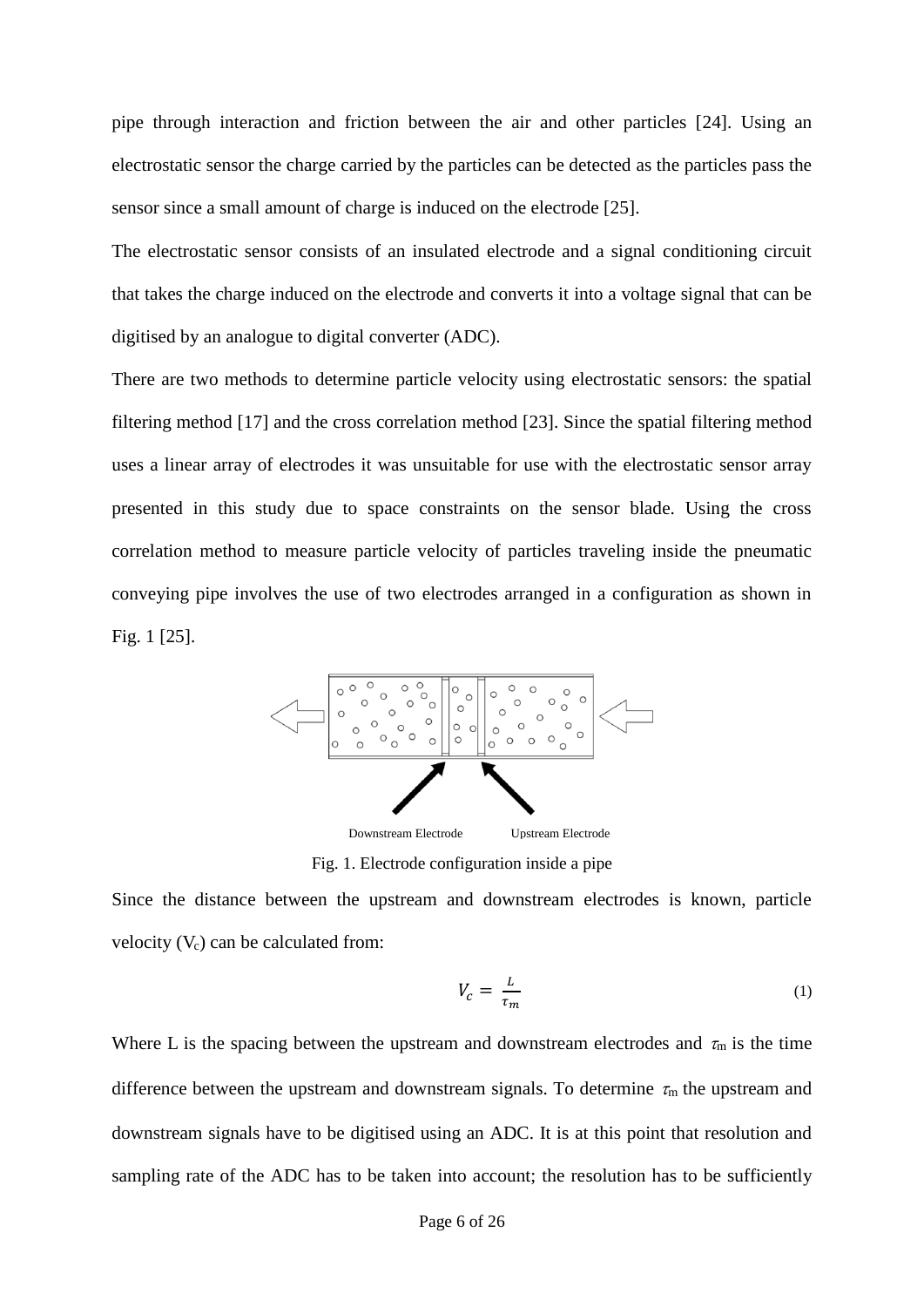pipe through interaction and friction between the air and other particles [24]. Using an electrostatic sensor the charge carried by the particles can be detected as the particles pass the sensor since a small amount of charge is induced on the electrode [25].

The electrostatic sensor consists of an insulated electrode and a signal conditioning circuit that takes the charge induced on the electrode and converts it into a voltage signal that can be digitised by an analogue to digital converter (ADC).

There are two methods to determine particle velocity using electrostatic sensors: the spatial filtering method [17] and the cross correlation method [23]. Since the spatial filtering method uses a linear array of electrodes it was unsuitable for use with the electrostatic sensor array presented in this study due to space constraints on the sensor blade. Using the cross correlation method to measure particle velocity of particles traveling inside the pneumatic conveying pipe involves the use of two electrodes arranged in a configuration as shown in Fig. 1 [25].



Fig. 1. Electrode configuration inside a pipe

Since the distance between the upstream and downstream electrodes is known, particle velocity  $(V_c)$  can be calculated from:

$$
V_c = \frac{L}{\tau_m} \tag{1}
$$

Where L is the spacing between the upstream and downstream electrodes and  $\tau_m$  is the time difference between the upstream and downstream signals. To determine  $\tau_m$  the upstream and downstream signals have to be digitised using an ADC. It is at this point that resolution and sampling rate of the ADC has to be taken into account; the resolution has to be sufficiently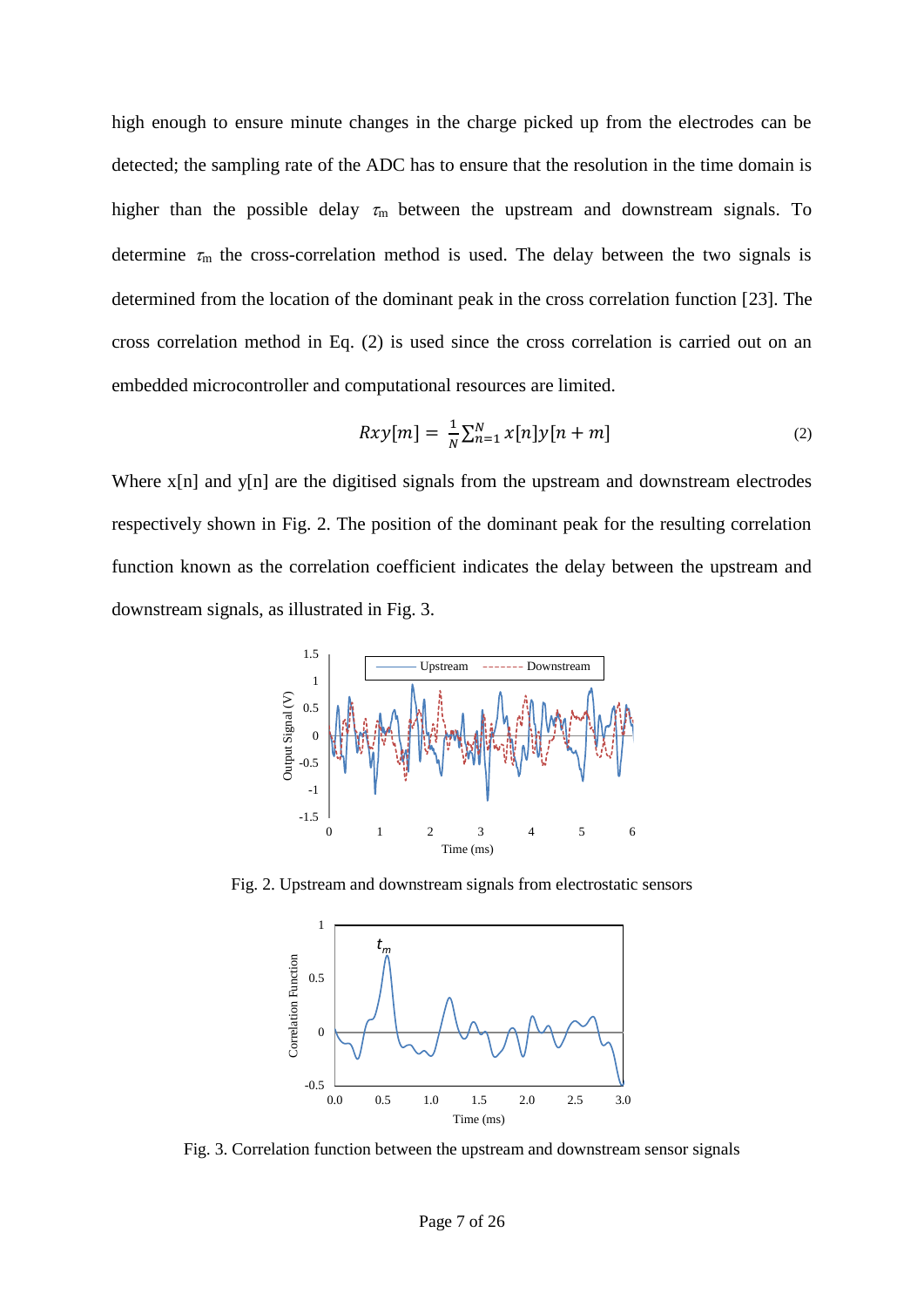high enough to ensure minute changes in the charge picked up from the electrodes can be detected; the sampling rate of the ADC has to ensure that the resolution in the time domain is higher than the possible delay  $\tau_m$  between the upstream and downstream signals. To determine  $\tau_m$  the cross-correlation method is used. The delay between the two signals is determined from the location of the dominant peak in the cross correlation function [23]. The cross correlation method in Eq. (2) is used since the cross correlation is carried out on an embedded microcontroller and computational resources are limited.

$$
Rxy[m] = \frac{1}{N} \sum_{n=1}^{N} x[n]y[n+m]
$$
\n(2)

Where x[n] and y[n] are the digitised signals from the upstream and downstream electrodes respectively shown in Fig. 2. The position of the dominant peak for the resulting correlation function known as the correlation coefficient indicates the delay between the upstream and downstream signals, as illustrated in Fig. 3.



Fig. 2. Upstream and downstream signals from electrostatic sensors



Fig. 3. Correlation function between the upstream and downstream sensor signals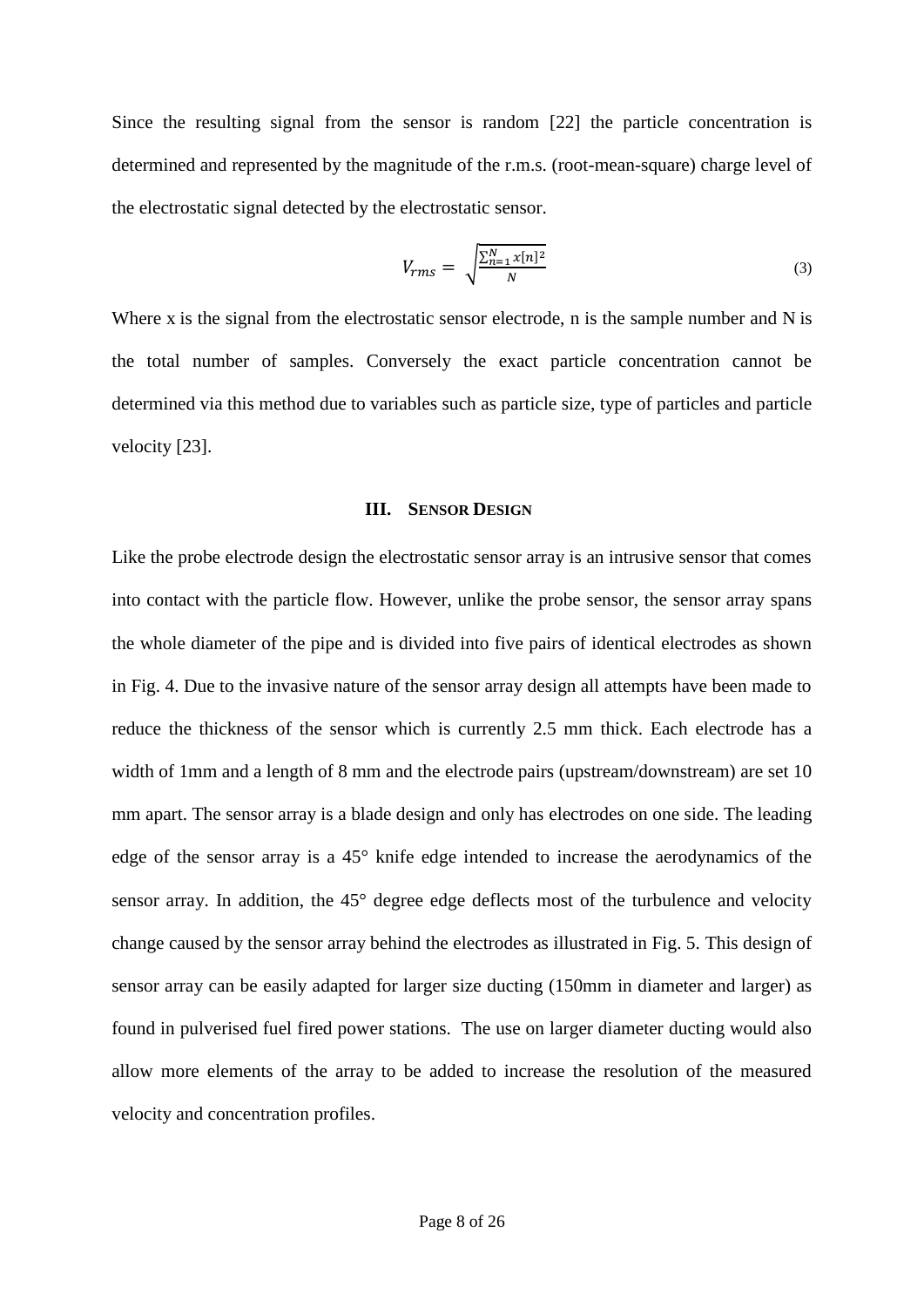Since the resulting signal from the sensor is random [22] the particle concentration is determined and represented by the magnitude of the r.m.s. (root-mean-square) charge level of the electrostatic signal detected by the electrostatic sensor.

$$
V_{rms} = \sqrt{\frac{\sum_{n=1}^{N} x[n]^2}{N}}
$$
\n(3)

Where x is the signal from the electrostatic sensor electrode, n is the sample number and N is the total number of samples. Conversely the exact particle concentration cannot be determined via this method due to variables such as particle size, type of particles and particle velocity [23].

#### **III. SENSOR DESIGN**

Like the probe electrode design the electrostatic sensor array is an intrusive sensor that comes into contact with the particle flow. However, unlike the probe sensor, the sensor array spans the whole diameter of the pipe and is divided into five pairs of identical electrodes as shown in Fig. 4. Due to the invasive nature of the sensor array design all attempts have been made to reduce the thickness of the sensor which is currently 2.5 mm thick. Each electrode has a width of 1mm and a length of 8 mm and the electrode pairs (upstream/downstream) are set 10 mm apart. The sensor array is a blade design and only has electrodes on one side. The leading edge of the sensor array is a 45° knife edge intended to increase the aerodynamics of the sensor array. In addition, the 45° degree edge deflects most of the turbulence and velocity change caused by the sensor array behind the electrodes as illustrated in Fig. 5. This design of sensor array can be easily adapted for larger size ducting (150mm in diameter and larger) as found in pulverised fuel fired power stations. The use on larger diameter ducting would also allow more elements of the array to be added to increase the resolution of the measured velocity and concentration profiles.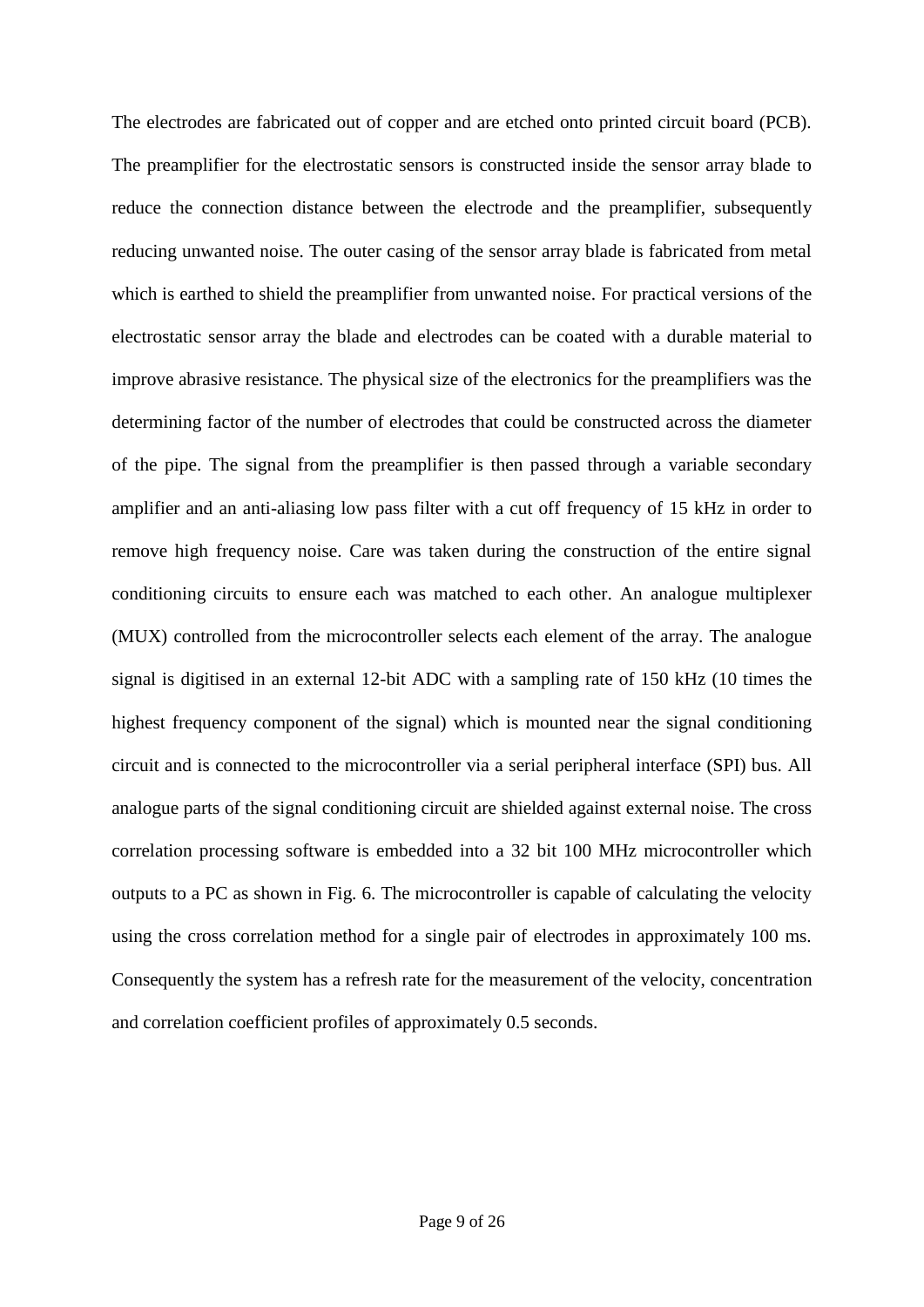The electrodes are fabricated out of copper and are etched onto printed circuit board (PCB). The preamplifier for the electrostatic sensors is constructed inside the sensor array blade to reduce the connection distance between the electrode and the preamplifier, subsequently reducing unwanted noise. The outer casing of the sensor array blade is fabricated from metal which is earthed to shield the preamplifier from unwanted noise. For practical versions of the electrostatic sensor array the blade and electrodes can be coated with a durable material to improve abrasive resistance. The physical size of the electronics for the preamplifiers was the determining factor of the number of electrodes that could be constructed across the diameter of the pipe. The signal from the preamplifier is then passed through a variable secondary amplifier and an anti-aliasing low pass filter with a cut off frequency of 15 kHz in order to remove high frequency noise. Care was taken during the construction of the entire signal conditioning circuits to ensure each was matched to each other. An analogue multiplexer (MUX) controlled from the microcontroller selects each element of the array. The analogue signal is digitised in an external 12-bit ADC with a sampling rate of 150 kHz (10 times the highest frequency component of the signal) which is mounted near the signal conditioning circuit and is connected to the microcontroller via a serial peripheral interface (SPI) bus. All analogue parts of the signal conditioning circuit are shielded against external noise. The cross correlation processing software is embedded into a 32 bit 100 MHz microcontroller which outputs to a PC as shown in Fig. 6. The microcontroller is capable of calculating the velocity using the cross correlation method for a single pair of electrodes in approximately 100 ms. Consequently the system has a refresh rate for the measurement of the velocity, concentration and correlation coefficient profiles of approximately 0.5 seconds.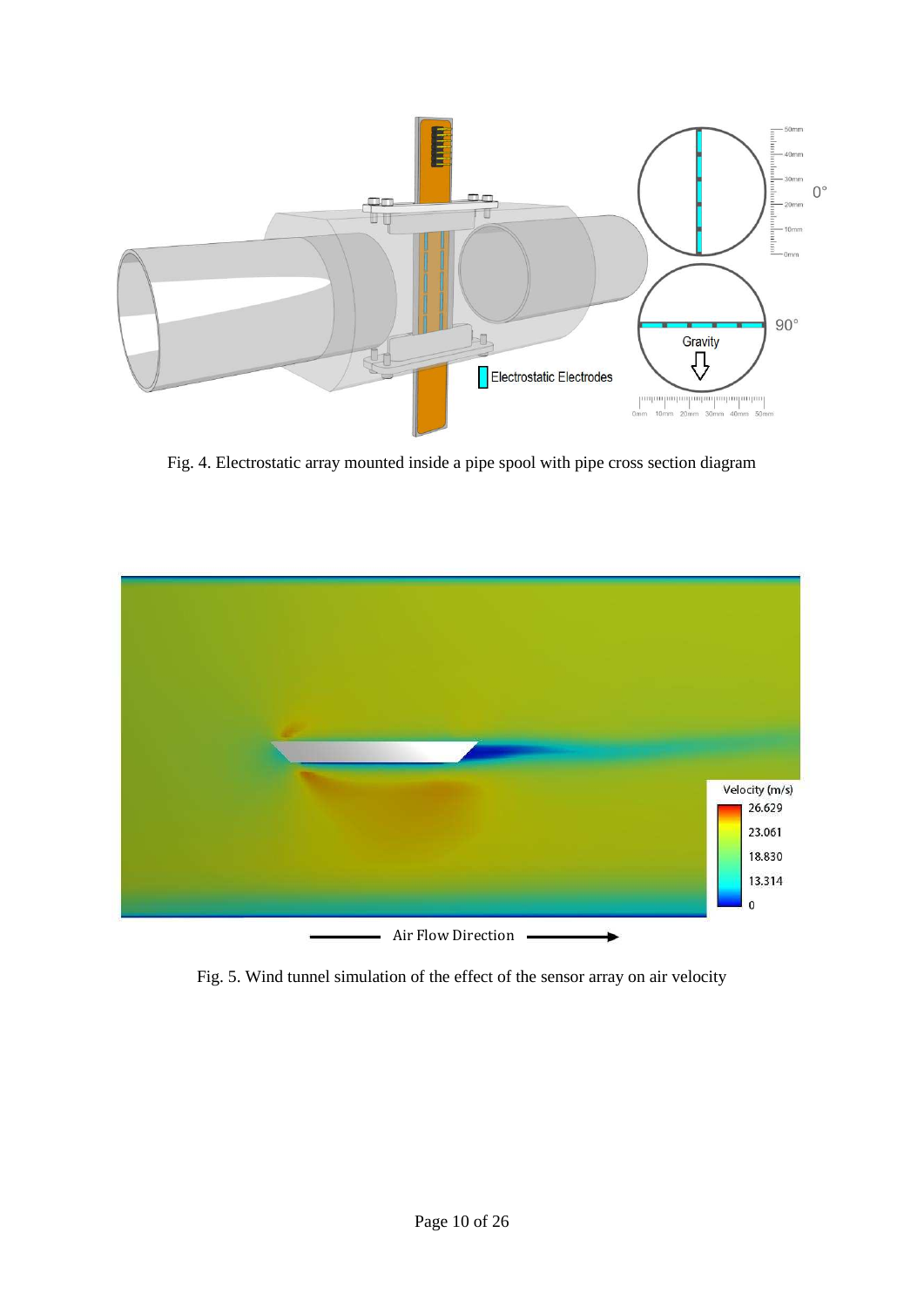

Fig. 4. Electrostatic array mounted inside a pipe spool with pipe cross section diagram



Fig. 5. Wind tunnel simulation of the effect of the sensor array on air velocity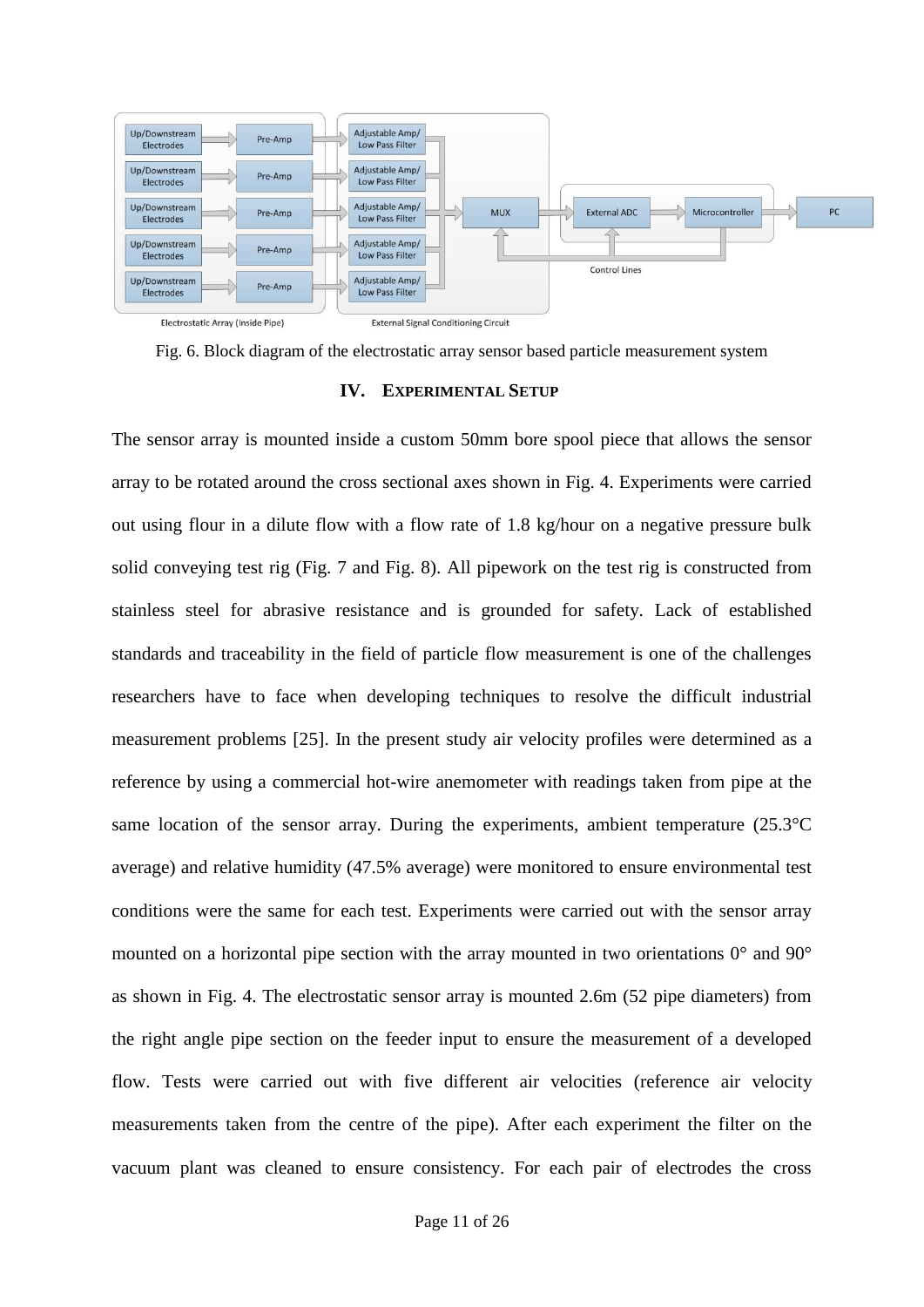

Fig. 6. Block diagram of the electrostatic array sensor based particle measurement system

#### **IV. EXPERIMENTAL SETUP**

The sensor array is mounted inside a custom 50mm bore spool piece that allows the sensor array to be rotated around the cross sectional axes shown in Fig. 4. Experiments were carried out using flour in a dilute flow with a flow rate of 1.8 kg/hour on a negative pressure bulk solid conveying test rig (Fig. 7 and Fig. 8). All pipework on the test rig is constructed from stainless steel for abrasive resistance and is grounded for safety. Lack of established standards and traceability in the field of particle flow measurement is one of the challenges researchers have to face when developing techniques to resolve the difficult industrial measurement problems [25]. In the present study air velocity profiles were determined as a reference by using a commercial hot-wire anemometer with readings taken from pipe at the same location of the sensor array. During the experiments, ambient temperature  $(25.3^{\circ}C)$ average) and relative humidity (47.5% average) were monitored to ensure environmental test conditions were the same for each test. Experiments were carried out with the sensor array mounted on a horizontal pipe section with the array mounted in two orientations 0° and 90° as shown in Fig. 4. The electrostatic sensor array is mounted 2.6m (52 pipe diameters) from the right angle pipe section on the feeder input to ensure the measurement of a developed flow. Tests were carried out with five different air velocities (reference air velocity measurements taken from the centre of the pipe). After each experiment the filter on the vacuum plant was cleaned to ensure consistency. For each pair of electrodes the cross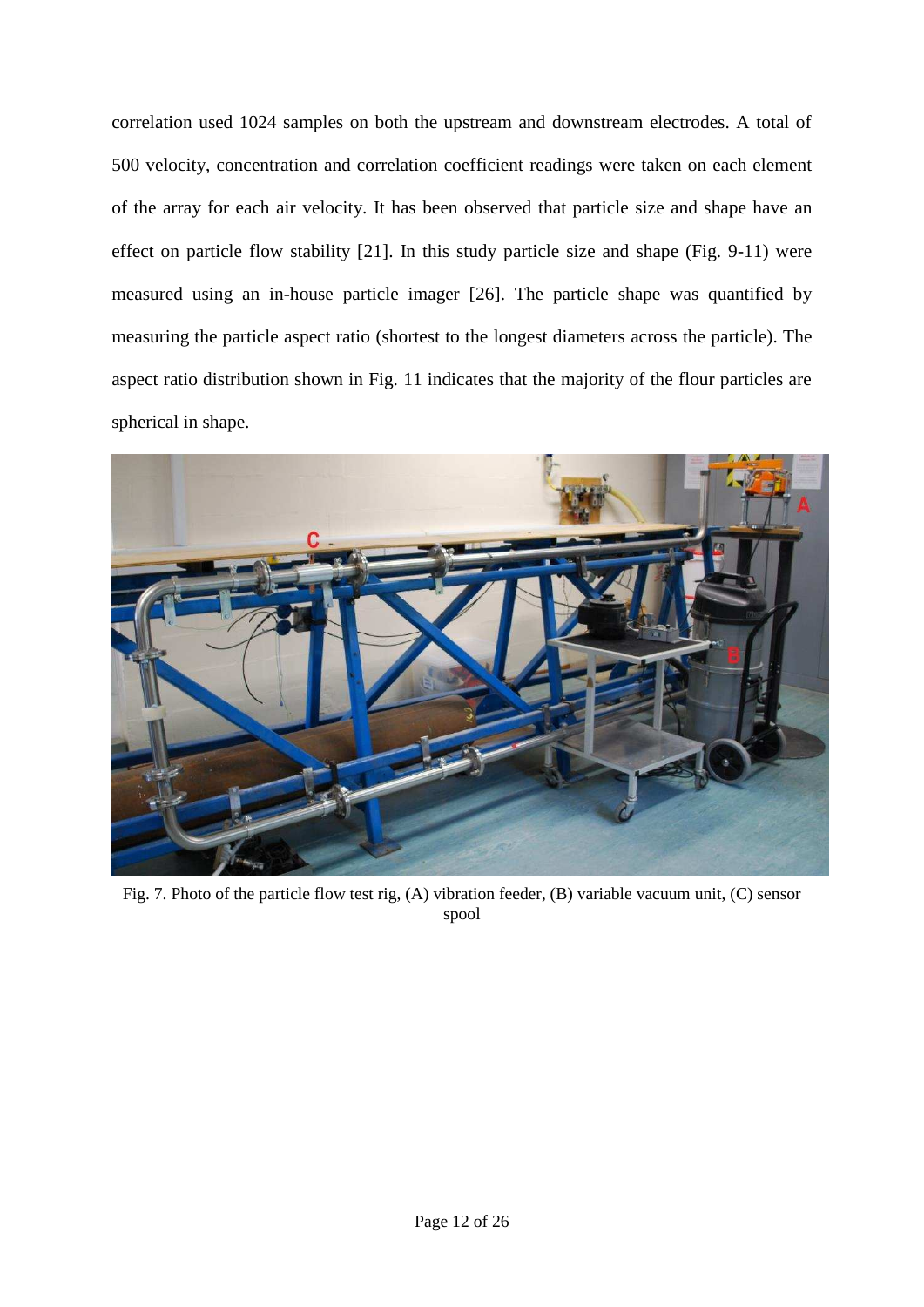correlation used 1024 samples on both the upstream and downstream electrodes. A total of 500 velocity, concentration and correlation coefficient readings were taken on each element of the array for each air velocity. It has been observed that particle size and shape have an effect on particle flow stability [21]. In this study particle size and shape (Fig. 9-11) were measured using an in-house particle imager [26]. The particle shape was quantified by measuring the particle aspect ratio (shortest to the longest diameters across the particle). The aspect ratio distribution shown in Fig. 11 indicates that the majority of the flour particles are spherical in shape.



Fig. 7. Photo of the particle flow test rig, (A) vibration feeder, (B) variable vacuum unit, (C) sensor spool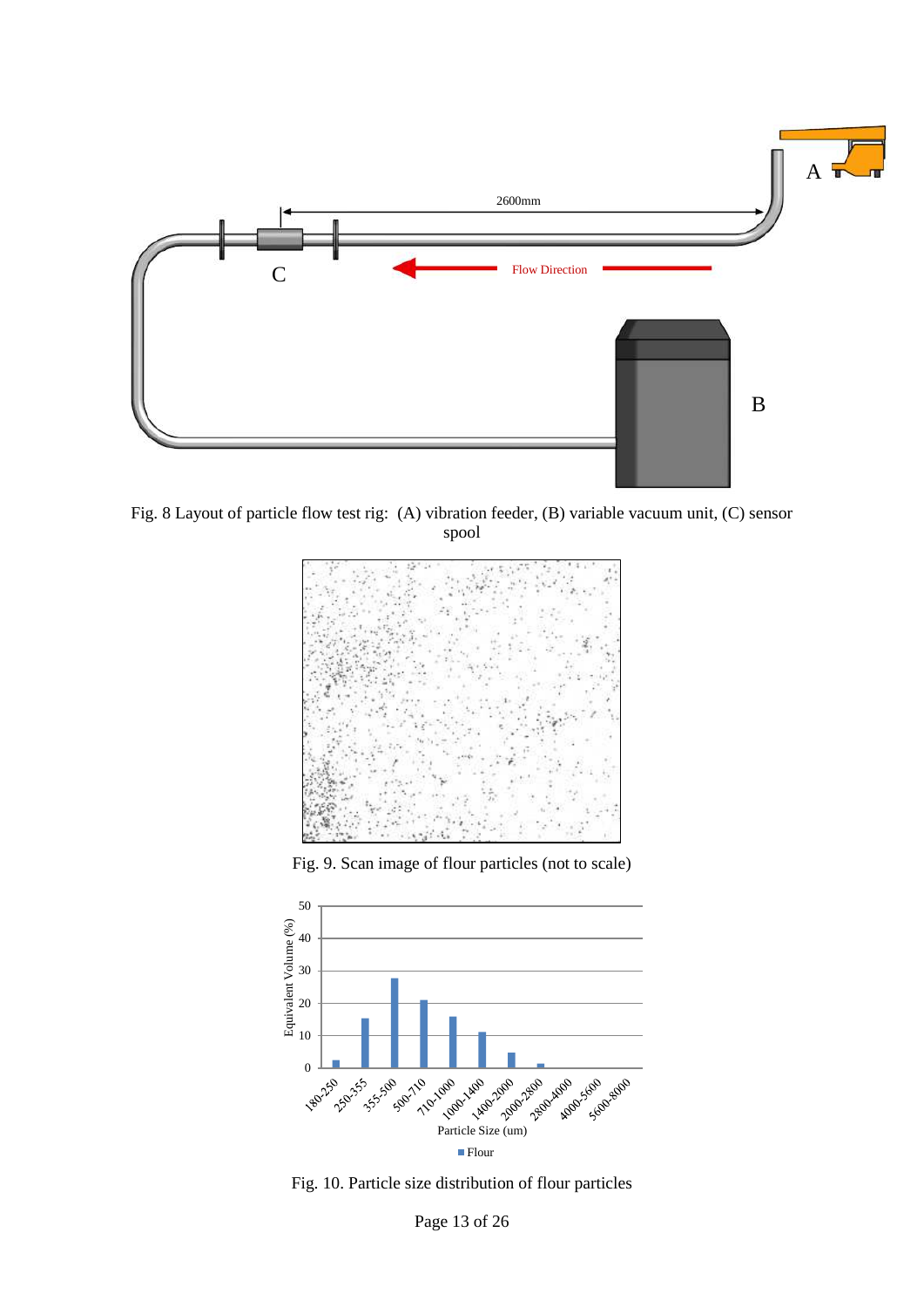

Fig. 8 Layout of particle flow test rig: (A) vibration feeder, (B) variable vacuum unit, (C) sensor spool



Fig. 9. Scan image of flour particles (not to scale)



Fig. 10. Particle size distribution of flour particles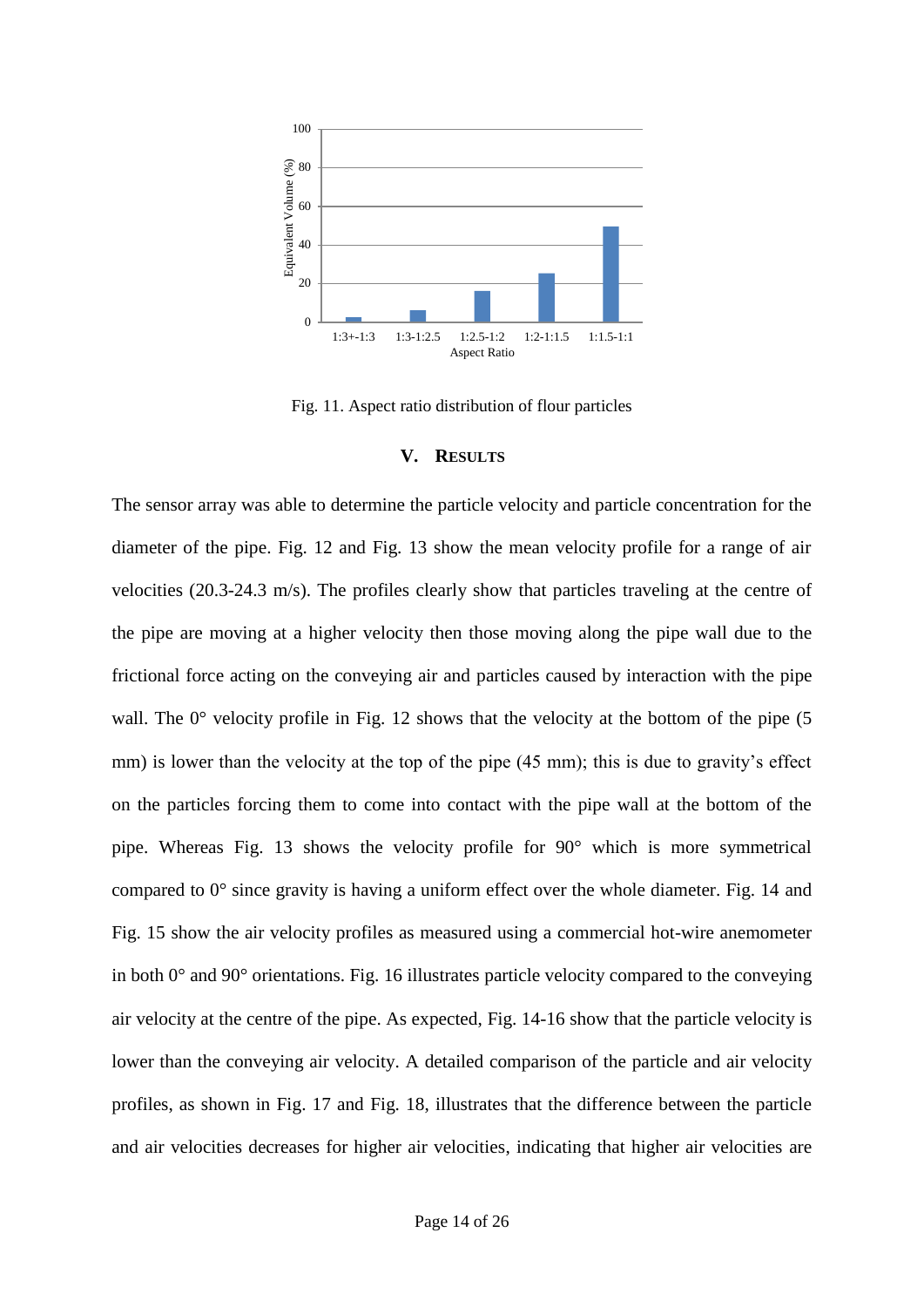

Fig. 11. Aspect ratio distribution of flour particles

## **V. RESULTS**

The sensor array was able to determine the particle velocity and particle concentration for the diameter of the pipe. Fig. 12 and Fig. 13 show the mean velocity profile for a range of air velocities (20.3-24.3 m/s). The profiles clearly show that particles traveling at the centre of the pipe are moving at a higher velocity then those moving along the pipe wall due to the frictional force acting on the conveying air and particles caused by interaction with the pipe wall. The  $0^{\circ}$  velocity profile in Fig. 12 shows that the velocity at the bottom of the pipe (5) mm) is lower than the velocity at the top of the pipe (45 mm); this is due to gravity's effect on the particles forcing them to come into contact with the pipe wall at the bottom of the pipe. Whereas Fig. 13 shows the velocity profile for 90° which is more symmetrical compared to 0° since gravity is having a uniform effect over the whole diameter. Fig. 14 and Fig. 15 show the air velocity profiles as measured using a commercial hot-wire anemometer in both 0° and 90° orientations. Fig. 16 illustrates particle velocity compared to the conveying air velocity at the centre of the pipe. As expected, Fig. 14-16 show that the particle velocity is lower than the conveying air velocity. A detailed comparison of the particle and air velocity profiles, as shown in Fig. 17 and Fig. 18, illustrates that the difference between the particle and air velocities decreases for higher air velocities, indicating that higher air velocities are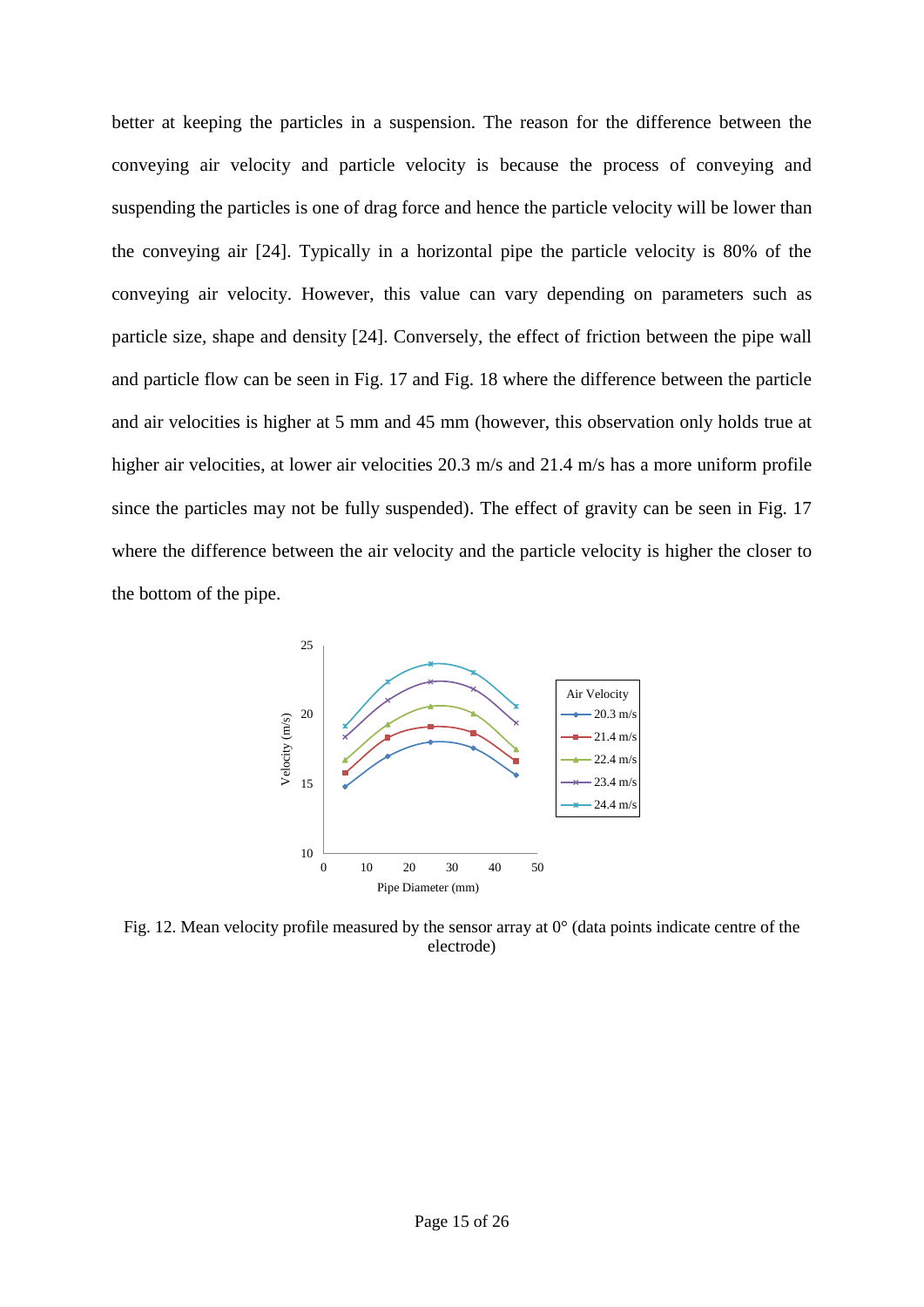better at keeping the particles in a suspension. The reason for the difference between the conveying air velocity and particle velocity is because the process of conveying and suspending the particles is one of drag force and hence the particle velocity will be lower than the conveying air [24]. Typically in a horizontal pipe the particle velocity is 80% of the conveying air velocity. However, this value can vary depending on parameters such as particle size, shape and density [24]. Conversely, the effect of friction between the pipe wall and particle flow can be seen in Fig. 17 and Fig. 18 where the difference between the particle and air velocities is higher at 5 mm and 45 mm (however, this observation only holds true at higher air velocities, at lower air velocities 20.3 m/s and 21.4 m/s has a more uniform profile since the particles may not be fully suspended). The effect of gravity can be seen in Fig. 17 where the difference between the air velocity and the particle velocity is higher the closer to the bottom of the pipe.



Fig. 12. Mean velocity profile measured by the sensor array at  $0^{\circ}$  (data points indicate centre of the electrode)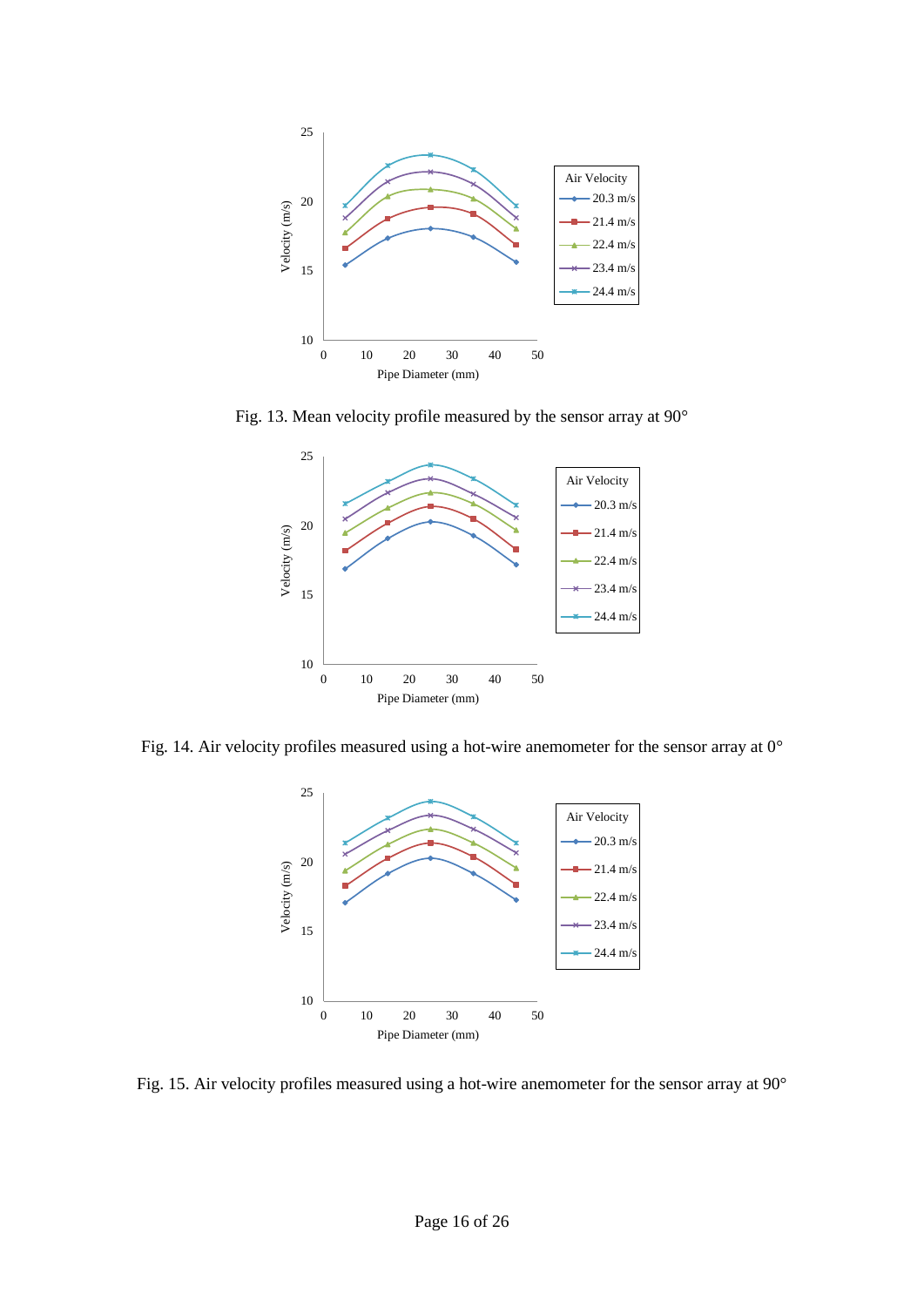

Fig. 13. Mean velocity profile measured by the sensor array at 90°



Fig. 14. Air velocity profiles measured using a hot-wire anemometer for the sensor array at 0°



Fig. 15. Air velocity profiles measured using a hot-wire anemometer for the sensor array at 90°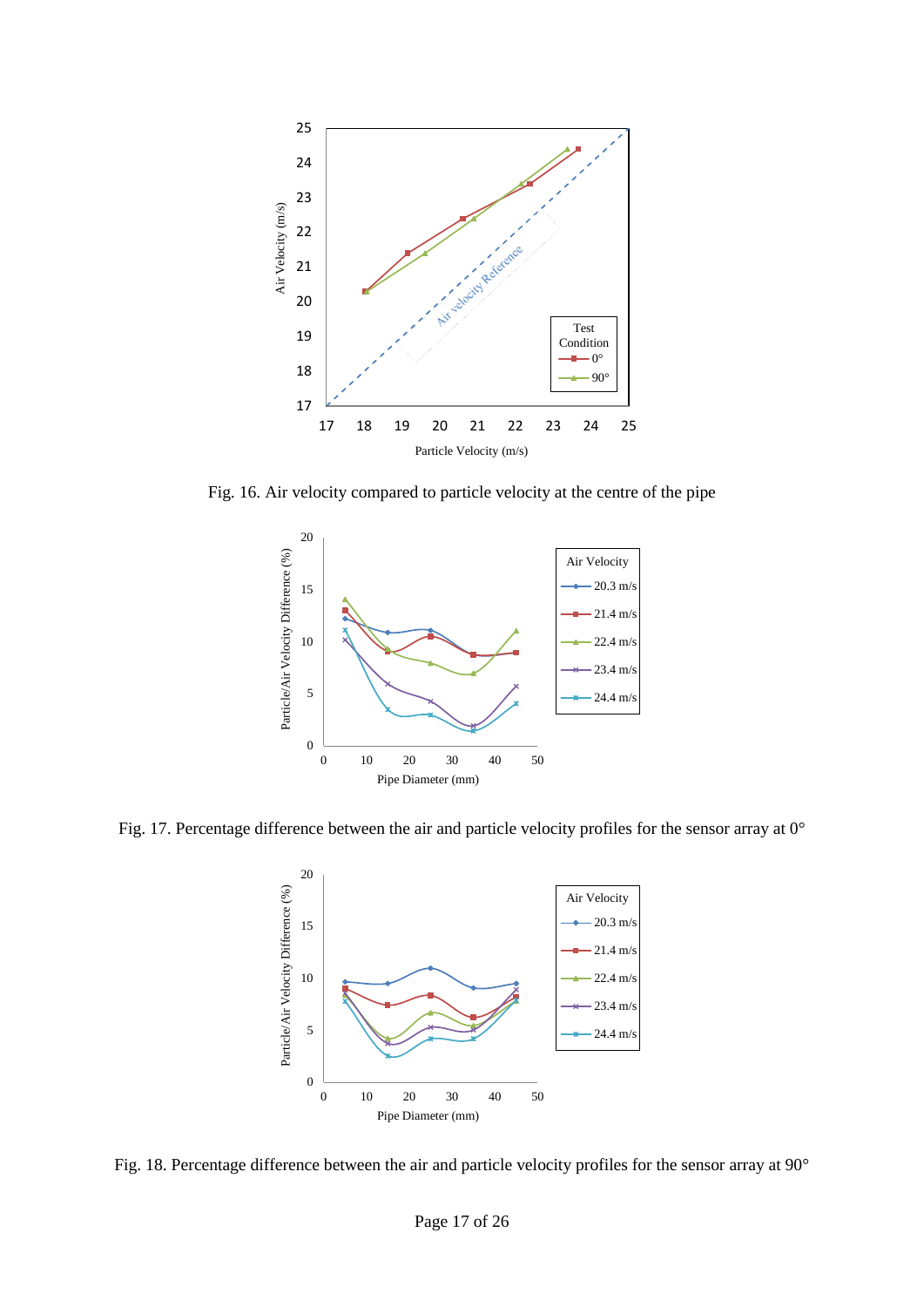

Fig. 16. Air velocity compared to particle velocity at the centre of the pipe



Fig. 17. Percentage difference between the air and particle velocity profiles for the sensor array at 0°



Fig. 18. Percentage difference between the air and particle velocity profiles for the sensor array at 90°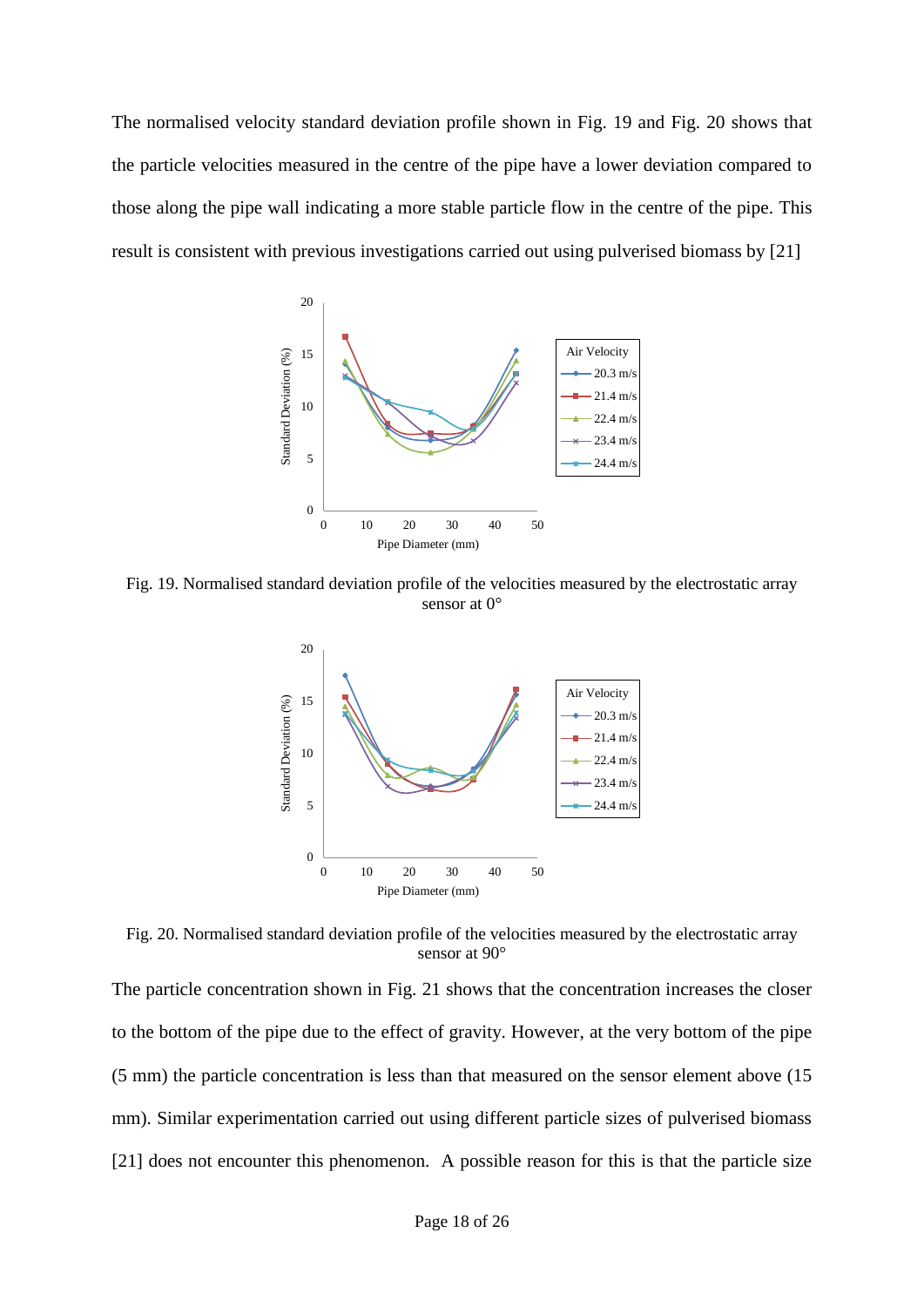The normalised velocity standard deviation profile shown in Fig. 19 and Fig. 20 shows that the particle velocities measured in the centre of the pipe have a lower deviation compared to those along the pipe wall indicating a more stable particle flow in the centre of the pipe. This result is consistent with previous investigations carried out using pulverised biomass by [21]



Fig. 19. Normalised standard deviation profile of the velocities measured by the electrostatic array sensor at  $0^{\circ}$ 



Fig. 20. Normalised standard deviation profile of the velocities measured by the electrostatic array sensor at 90°

The particle concentration shown in Fig. 21 shows that the concentration increases the closer to the bottom of the pipe due to the effect of gravity. However, at the very bottom of the pipe (5 mm) the particle concentration is less than that measured on the sensor element above (15 mm). Similar experimentation carried out using different particle sizes of pulverised biomass [21] does not encounter this phenomenon. A possible reason for this is that the particle size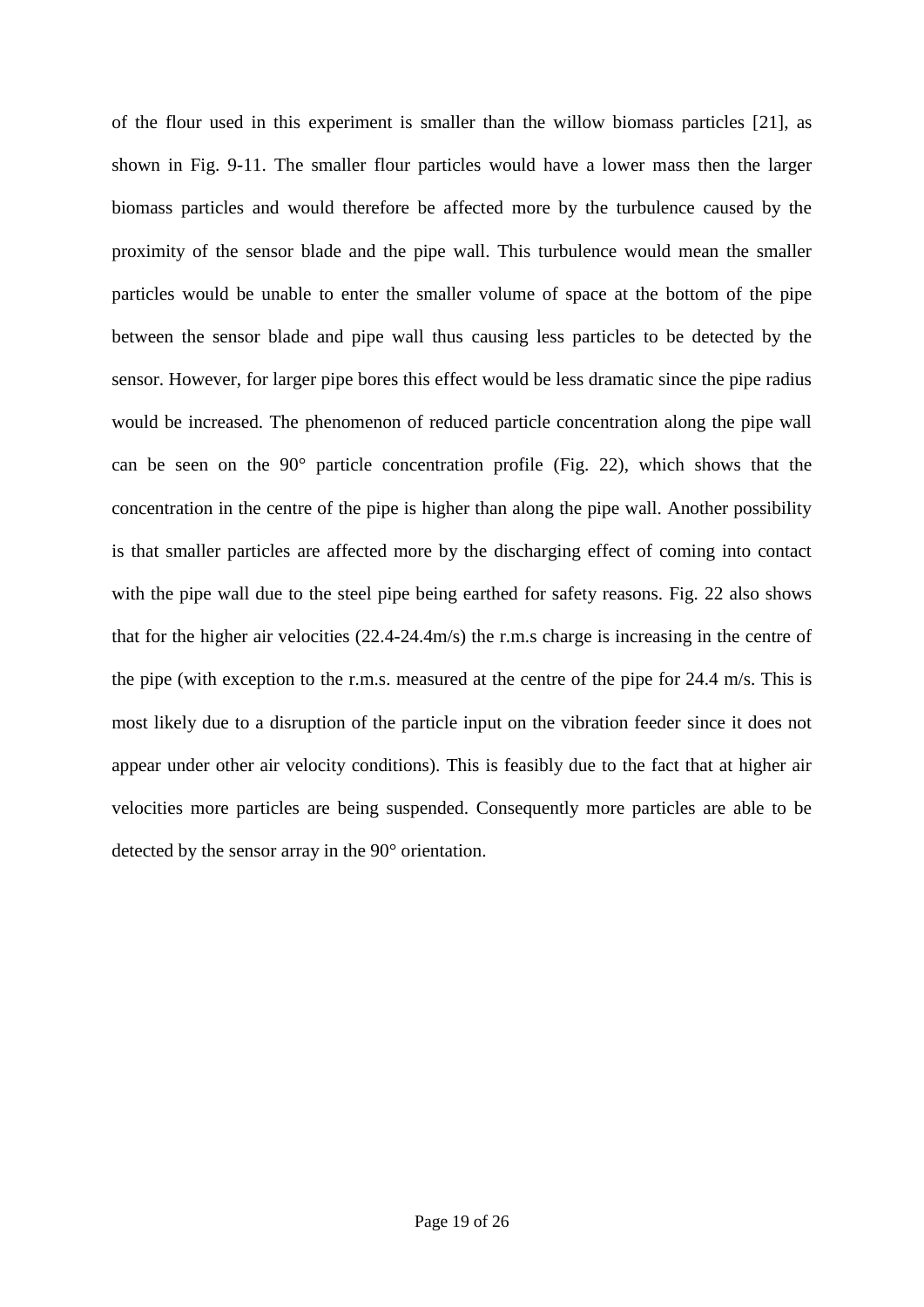of the flour used in this experiment is smaller than the willow biomass particles [21], as shown in Fig. 9-11. The smaller flour particles would have a lower mass then the larger biomass particles and would therefore be affected more by the turbulence caused by the proximity of the sensor blade and the pipe wall. This turbulence would mean the smaller particles would be unable to enter the smaller volume of space at the bottom of the pipe between the sensor blade and pipe wall thus causing less particles to be detected by the sensor. However, for larger pipe bores this effect would be less dramatic since the pipe radius would be increased. The phenomenon of reduced particle concentration along the pipe wall can be seen on the 90° particle concentration profile (Fig. 22), which shows that the concentration in the centre of the pipe is higher than along the pipe wall. Another possibility is that smaller particles are affected more by the discharging effect of coming into contact with the pipe wall due to the steel pipe being earthed for safety reasons. Fig. 22 also shows that for the higher air velocities (22.4-24.4m/s) the r.m.s charge is increasing in the centre of the pipe (with exception to the r.m.s. measured at the centre of the pipe for 24.4 m/s. This is most likely due to a disruption of the particle input on the vibration feeder since it does not appear under other air velocity conditions). This is feasibly due to the fact that at higher air velocities more particles are being suspended. Consequently more particles are able to be detected by the sensor array in the 90° orientation.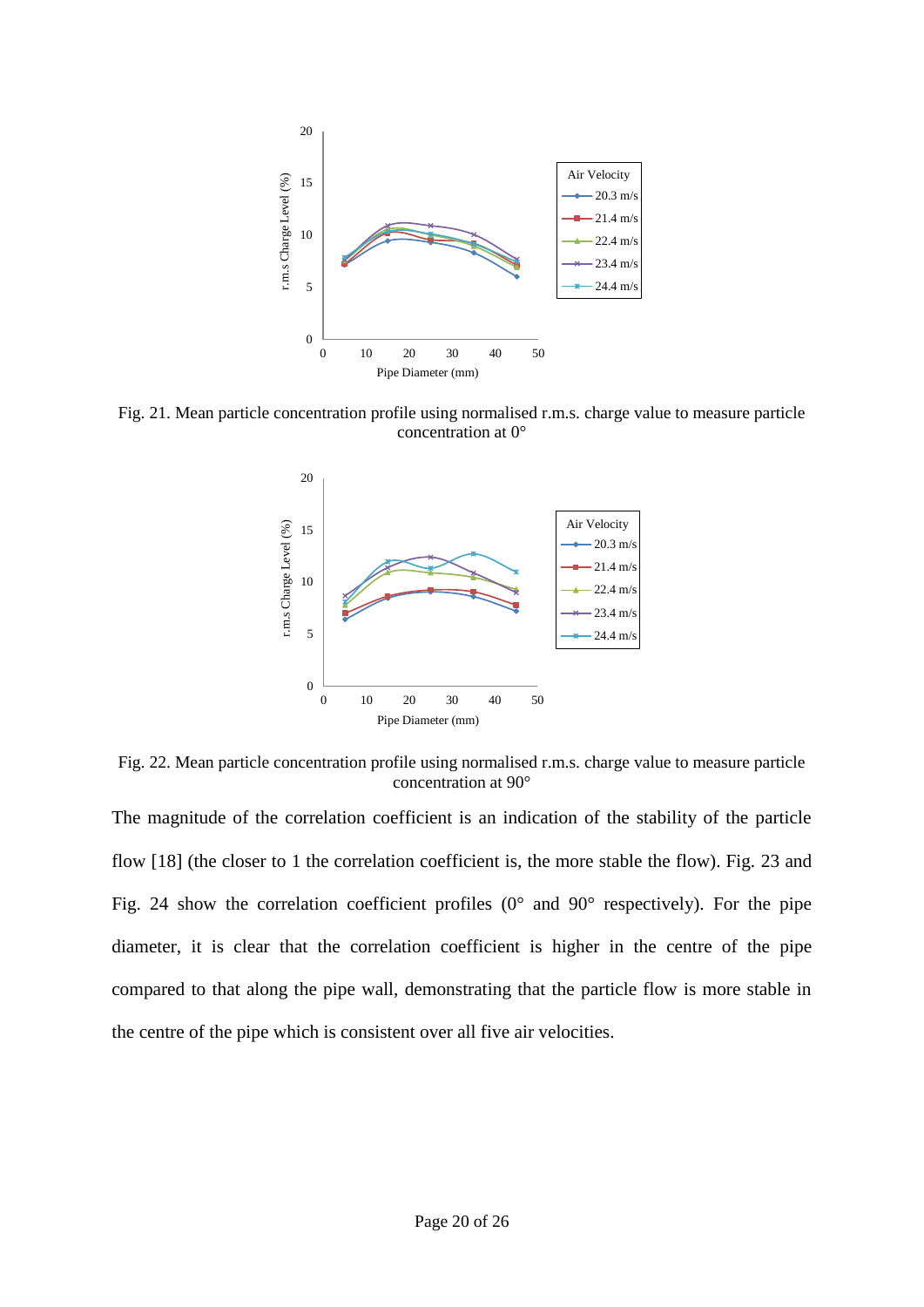

Fig. 21. Mean particle concentration profile using normalised r.m.s. charge value to measure particle concentration at 0°



Fig. 22. Mean particle concentration profile using normalised r.m.s. charge value to measure particle concentration at 90°

The magnitude of the correlation coefficient is an indication of the stability of the particle flow [18] (the closer to 1 the correlation coefficient is, the more stable the flow). Fig. 23 and Fig. 24 show the correlation coefficient profiles  $(0^{\circ}$  and  $90^{\circ}$  respectively). For the pipe diameter, it is clear that the correlation coefficient is higher in the centre of the pipe compared to that along the pipe wall, demonstrating that the particle flow is more stable in the centre of the pipe which is consistent over all five air velocities.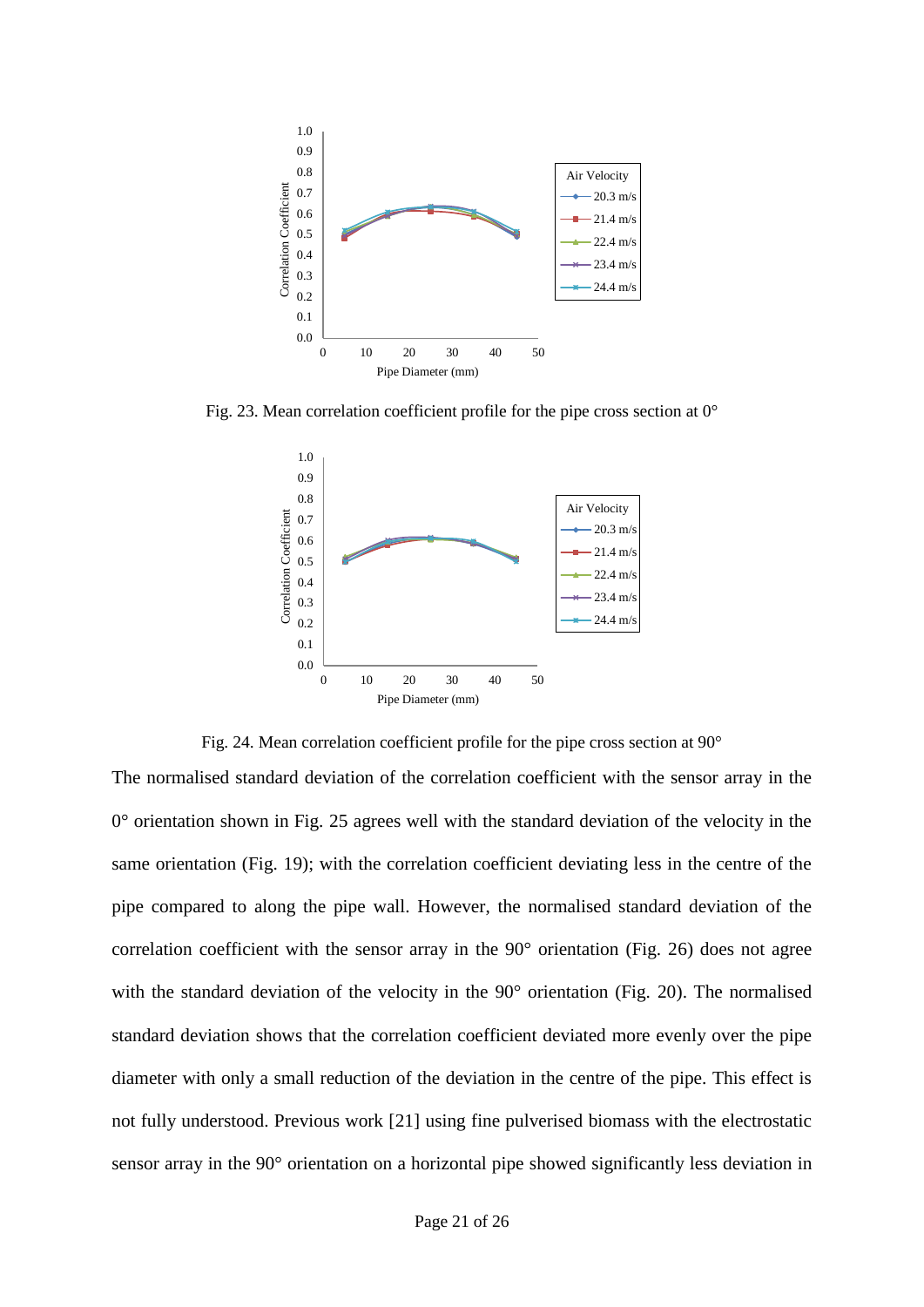

Fig. 23. Mean correlation coefficient profile for the pipe cross section at 0°



Fig. 24. Mean correlation coefficient profile for the pipe cross section at 90°

The normalised standard deviation of the correlation coefficient with the sensor array in the 0° orientation shown in Fig. 25 agrees well with the standard deviation of the velocity in the same orientation (Fig. 19); with the correlation coefficient deviating less in the centre of the pipe compared to along the pipe wall. However, the normalised standard deviation of the correlation coefficient with the sensor array in the 90° orientation (Fig. 26) does not agree with the standard deviation of the velocity in the 90° orientation (Fig. 20). The normalised standard deviation shows that the correlation coefficient deviated more evenly over the pipe diameter with only a small reduction of the deviation in the centre of the pipe. This effect is not fully understood. Previous work [21] using fine pulverised biomass with the electrostatic sensor array in the 90° orientation on a horizontal pipe showed significantly less deviation in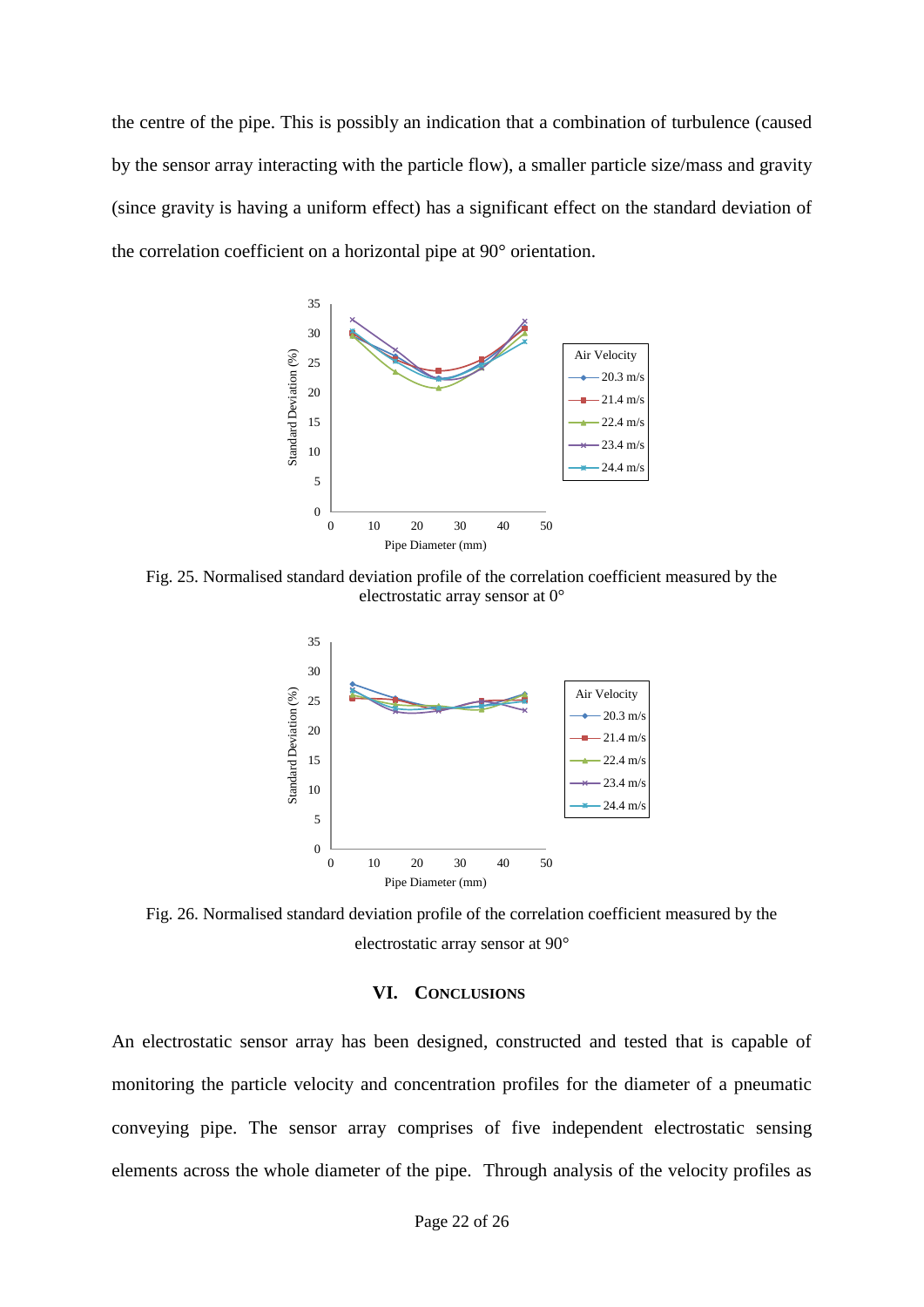the centre of the pipe. This is possibly an indication that a combination of turbulence (caused by the sensor array interacting with the particle flow), a smaller particle size/mass and gravity (since gravity is having a uniform effect) has a significant effect on the standard deviation of the correlation coefficient on a horizontal pipe at 90° orientation.



Fig. 25. Normalised standard deviation profile of the correlation coefficient measured by the electrostatic array sensor at 0°



Fig. 26. Normalised standard deviation profile of the correlation coefficient measured by the electrostatic array sensor at 90°

### **VI. CONCLUSIONS**

An electrostatic sensor array has been designed, constructed and tested that is capable of monitoring the particle velocity and concentration profiles for the diameter of a pneumatic conveying pipe. The sensor array comprises of five independent electrostatic sensing elements across the whole diameter of the pipe. Through analysis of the velocity profiles as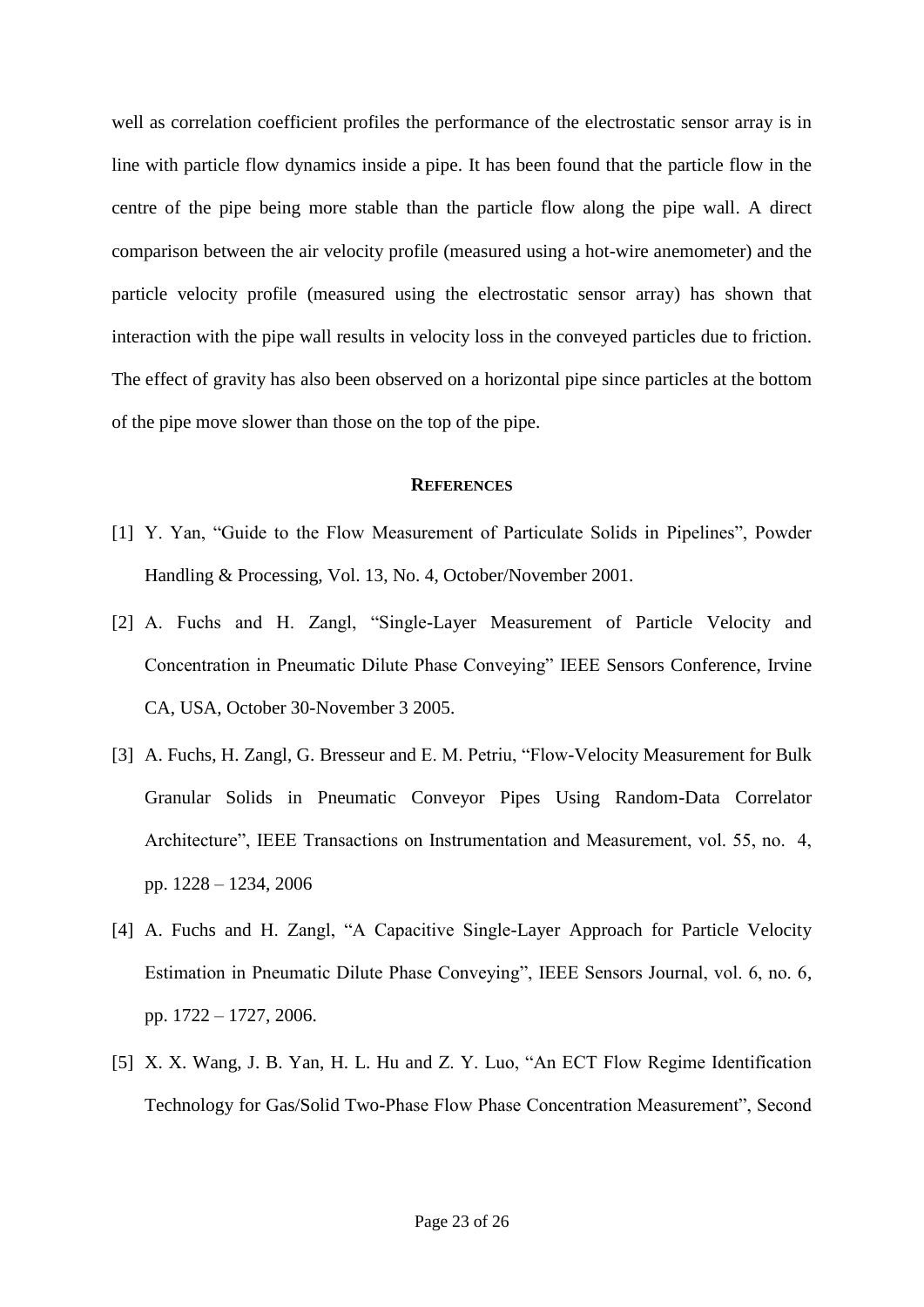well as correlation coefficient profiles the performance of the electrostatic sensor array is in line with particle flow dynamics inside a pipe. It has been found that the particle flow in the centre of the pipe being more stable than the particle flow along the pipe wall. A direct comparison between the air velocity profile (measured using a hot-wire anemometer) and the particle velocity profile (measured using the electrostatic sensor array) has shown that interaction with the pipe wall results in velocity loss in the conveyed particles due to friction. The effect of gravity has also been observed on a horizontal pipe since particles at the bottom of the pipe move slower than those on the top of the pipe.

#### **REFERENCES**

- [1] Y. Yan, "Guide to the Flow Measurement of Particulate Solids in Pipelines", Powder Handling & Processing, Vol. 13, No. 4, October/November 2001.
- [2] A. Fuchs and H. Zangl, "Single-Layer Measurement of Particle Velocity and Concentration in Pneumatic Dilute Phase Conveying" IEEE Sensors Conference, Irvine CA, USA, October 30-November 3 2005.
- [3] A. Fuchs, H. Zangl, G. Bresseur and E. M. Petriu, "Flow-Velocity Measurement for Bulk Granular Solids in Pneumatic Conveyor Pipes Using Random-Data Correlator Architecture", IEEE Transactions on Instrumentation and Measurement, vol. 55, no. 4, pp. 1228 – 1234, 2006
- [4] A. Fuchs and H. Zangl, "A Capacitive Single-Layer Approach for Particle Velocity Estimation in Pneumatic Dilute Phase Conveying", IEEE Sensors Journal, vol. 6, no. 6, pp. 1722 – 1727, 2006.
- [5] X. X. Wang, J. B. Yan, H. L. Hu and Z. Y. Luo, "An ECT Flow Regime Identification Technology for Gas/Solid Two-Phase Flow Phase Concentration Measurement", Second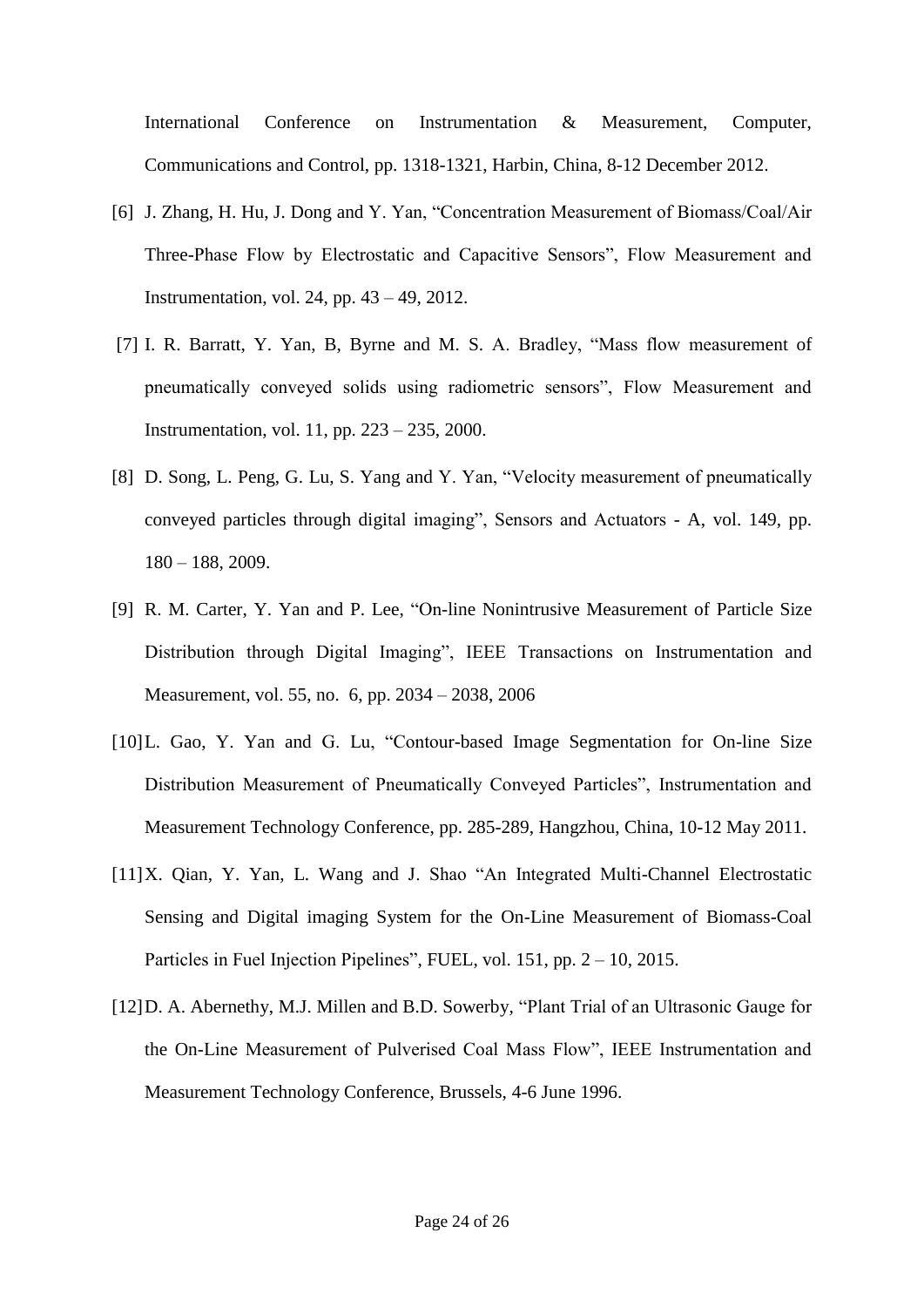International Conference on Instrumentation & Measurement, Computer, Communications and Control, pp. 1318-1321, Harbin, China, 8-12 December 2012.

- [6] J. Zhang, H. Hu, J. Dong and Y. Yan, "Concentration Measurement of Biomass/Coal/Air Three-Phase Flow by Electrostatic and Capacitive Sensors", Flow Measurement and Instrumentation, vol. 24, pp. 43 – 49, 2012.
- [7] I. R. Barratt, Y. Yan, B, Byrne and M. S. A. Bradley, "Mass flow measurement of pneumatically conveyed solids using radiometric sensors", Flow Measurement and Instrumentation, vol. 11, pp. 223 – 235, 2000.
- [8] D. Song, L. Peng, G. Lu, S. Yang and Y. Yan, "Velocity measurement of pneumatically conveyed particles through digital imaging", Sensors and Actuators - A, vol. 149, pp. 180 – 188, 2009.
- [9] R. M. Carter, Y. Yan and P. Lee, "On-line Nonintrusive Measurement of Particle Size Distribution through Digital Imaging", IEEE Transactions on Instrumentation and Measurement, vol. 55, no. 6, pp. 2034 – 2038, 2006
- [10] L. Gao, Y. Yan and G. Lu, "Contour-based Image Segmentation for On-line Size Distribution Measurement of Pneumatically Conveyed Particles", Instrumentation and Measurement Technology Conference, pp. 285-289, Hangzhou, China, 10-12 May 2011.
- [11] X. Qian, Y. Yan, L. Wang and J. Shao "An Integrated Multi-Channel Electrostatic Sensing and Digital imaging System for the On-Line Measurement of Biomass-Coal Particles in Fuel Injection Pipelines", FUEL, vol. 151, pp. 2 – 10, 2015.
- [12] D. A. Abernethy, M.J. Millen and B.D. Sowerby, "Plant Trial of an Ultrasonic Gauge for the On-Line Measurement of Pulverised Coal Mass Flow", IEEE Instrumentation and Measurement Technology Conference, Brussels, 4-6 June 1996.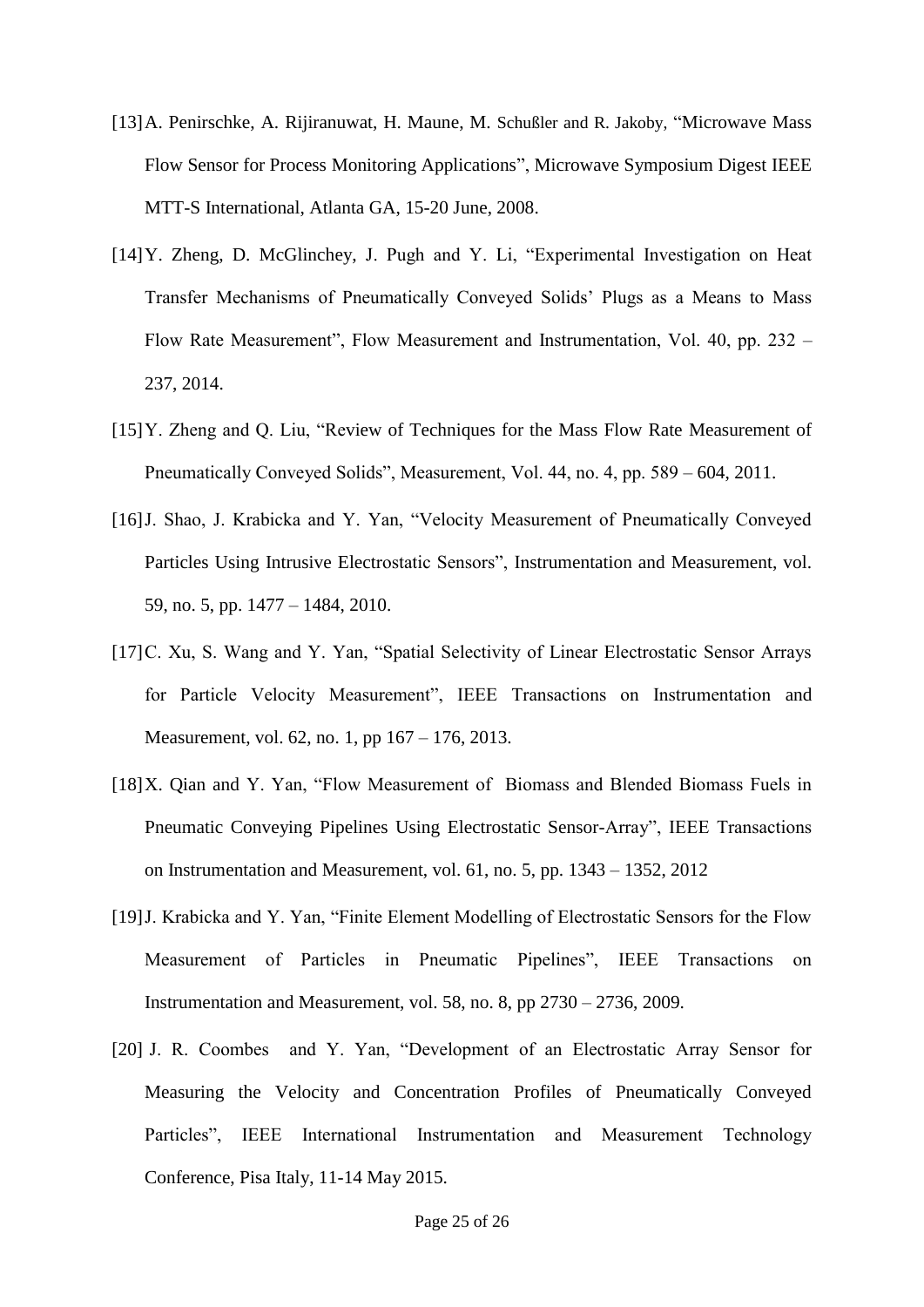- [13] A. Penirschke, A. Rijiranuwat, H. Maune, M. Schußler and R. Jakoby, "Microwave Mass" Flow Sensor for Process Monitoring Applications", Microwave Symposium Digest IEEE MTT-S International, Atlanta GA, 15-20 June, 2008.
- [14] Y. Zheng, D. McGlinchey, J. Pugh and Y. Li, "Experimental Investigation on Heat Transfer Mechanisms of Pneumatically Conveyed Solids' Plugs as a Means to Mass Flow Rate Measurement", Flow Measurement and Instrumentation, Vol. 40, pp. 232 – 237, 2014.
- [15] Y. Zheng and Q. Liu, "Review of Techniques for the Mass Flow Rate Measurement of Pneumatically Conveyed Solids", Measurement, Vol. 44, no. 4, pp. 589 – 604, 2011.
- [16] J. Shao, J. Krabicka and Y. Yan, "Velocity Measurement of Pneumatically Conveyed Particles Using Intrusive Electrostatic Sensors", Instrumentation and Measurement, vol. 59, no. 5, pp. 1477 – 1484, 2010.
- [17] C. Xu, S. Wang and Y. Yan, "Spatial Selectivity of Linear Electrostatic Sensor Arrays for Particle Velocity Measurement", IEEE Transactions on Instrumentation and Measurement, vol. 62, no. 1, pp 167 – 176, 2013.
- [18] X. Qian and Y. Yan, "Flow Measurement of Biomass and Blended Biomass Fuels in Pneumatic Conveying Pipelines Using Electrostatic Sensor-Array", IEEE Transactions on Instrumentation and Measurement, vol. 61, no. 5, pp. 1343 – 1352, 2012
- [19] J. Krabicka and Y. Yan, "Finite Element Modelling of Electrostatic Sensors for the Flow Measurement of Particles in Pneumatic Pipelines", IEEE Transactions on Instrumentation and Measurement, vol. 58, no. 8, pp 2730 – 2736, 2009.
- [20] J. R. Coombes and Y. Yan, "Development of an Electrostatic Array Sensor for Measuring the Velocity and Concentration Profiles of Pneumatically Conveyed Particles", IEEE International Instrumentation and Measurement Technology Conference, Pisa Italy, 11-14 May 2015.